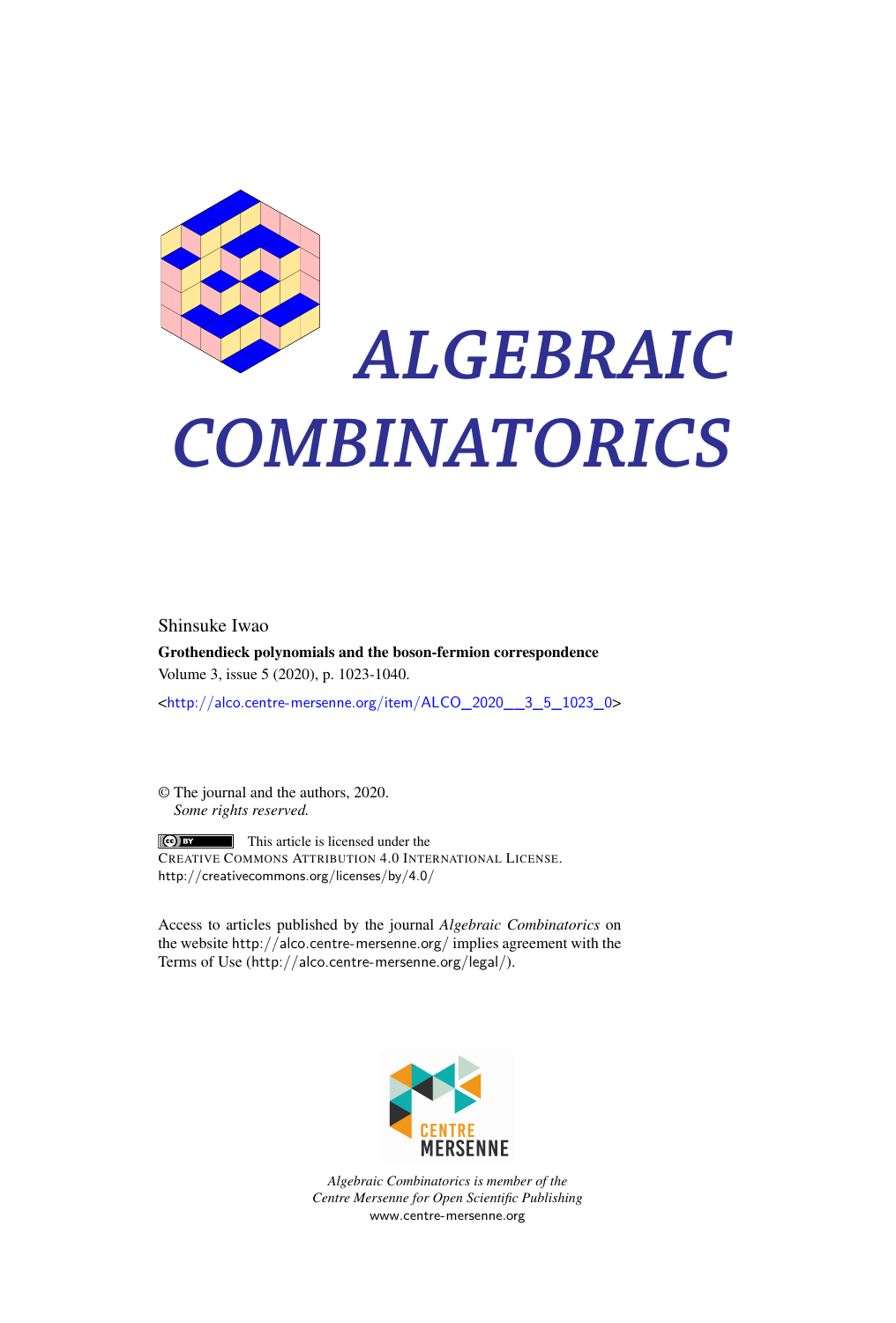

# *ALGEBRAIC COMBINATORICS*

Shinsuke Iwao

Grothendieck polynomials and the boson-fermion correspondence Volume 3, issue 5 (2020), p. 1023-1040.

<[http://alco.centre-mersenne.org/item/ALCO\\_2020\\_\\_3\\_5\\_1023\\_0](http://alco.centre-mersenne.org/item/ALCO_2020__3_5_1023_0)>

© The journal and the authors, 2020. *Some rights reserved.*

**C** EX This article is licensed under the CREATIVE COMMONS ATTRIBUTION 4.0 INTERNATIONAL LICENSE. <http://creativecommons.org/licenses/by/4.0/>

Access to articles published by the journal *Algebraic Combinatorics* on the website <http://alco.centre-mersenne.org/> implies agreement with the Terms of Use (<http://alco.centre-mersenne.org/legal/>).



*Algebraic Combinatorics is member of the Centre Mersenne for Open Scientific Publishing* <www.centre-mersenne.org>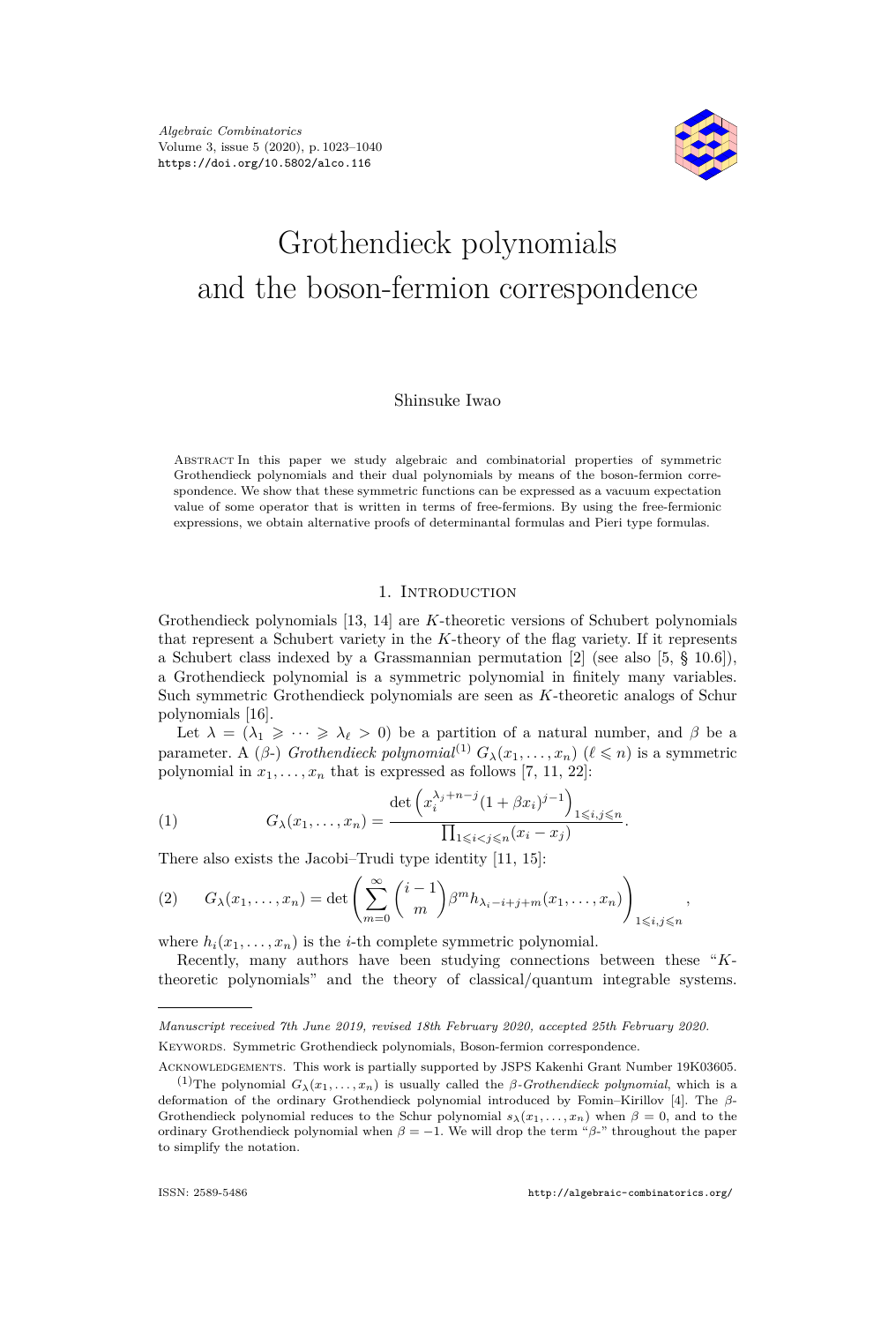

# Grothendieck polynomials and the boson-fermion correspondence

#### Shinsuke Iwao

Abstract In this paper we study algebraic and combinatorial properties of symmetric Grothendieck polynomials and their dual polynomials by means of the boson-fermion correspondence. We show that these symmetric functions can be expressed as a vacuum expectation value of some operator that is written in terms of free-fermions. By using the free-fermionic expressions, we obtain alternative proofs of determinantal formulas and Pieri type formulas.

# 1. INTRODUCTION

Grothendieck polynomials [\[13,](#page-18-0) [14\]](#page-18-1) are *K*-theoretic versions of Schubert polynomials that represent a Schubert variety in the *K*-theory of the flag variety. If it represents a Schubert class indexed by a Grassmannian permutation [\[2\]](#page-17-0) (see also [\[5,](#page-17-1) § 10.6]), a Grothendieck polynomial is a symmetric polynomial in finitely many variables. Such symmetric Grothendieck polynomials are seen as *K*-theoretic analogs of Schur polynomials [\[16\]](#page-18-2).

Let  $\lambda = (\lambda_1 \geqslant \cdots \geqslant \lambda_\ell > 0)$  be a partition of a natural number, and  $\beta$  be a parameter. A ( $\beta$ -) *Grothendieck polynomial*<sup>(1)</sup>  $G_{\lambda}(x_1, \ldots, x_n)$  ( $\ell \leq n$ ) is a symmetric polynomial in  $x_1, \ldots, x_n$  that is expressed as follows [\[7,](#page-17-2) [11,](#page-18-3) [22\]](#page-18-4):

(1) 
$$
G_{\lambda}(x_1,...,x_n) = \frac{\det \left(x_i^{\lambda_j+n-j} (1+\beta x_i)^{j-1}\right)_{1 \leq i,j \leq n}}{\prod_{1 \leq i < j \leq n} (x_i - x_j)}.
$$

There also exists the Jacobi–Trudi type identity [\[11,](#page-18-3) [15\]](#page-18-5):

<span id="page-1-0"></span>
$$
(2) \qquad G_{\lambda}(x_1,\ldots,x_n)=\det\left(\sum_{m=0}^{\infty}\binom{i-1}{m}\beta^m h_{\lambda_i-i+j+m}(x_1,\ldots,x_n)\right)_{1\leqslant i,j\leqslant n},
$$

where  $h_i(x_1, \ldots, x_n)$  is the *i*-th complete symmetric polynomial.

Recently, many authors have been studying connections between these "*K*theoretic polynomials" and the theory of classical/quantum integrable systems.

*Manuscript received 7th June 2019, revised 18th February 2020, accepted 25th February 2020.* Keywords. Symmetric Grothendieck polynomials, Boson-fermion correspondence.

Acknowledgements. This work is partially supported by JSPS Kakenhi Grant Number 19K03605.

<sup>&</sup>lt;sup>(1)</sup>The polynomial  $G_{\lambda}(x_1, \ldots, x_n)$  is usually called the *β-Grothendieck polynomial*, which is a deformation of the ordinary Grothendieck polynomial introduced by Fomin–Kirillov [\[4\]](#page-17-3). The *β*-Grothendieck polynomial reduces to the Schur polynomial  $s_{\lambda}(x_1, \ldots, x_n)$  when  $\beta = 0$ , and to the ordinary Grothendieck polynomial when  $\beta = -1$ . We will drop the term " $\beta$ -" throughout the paper to simplify the notation.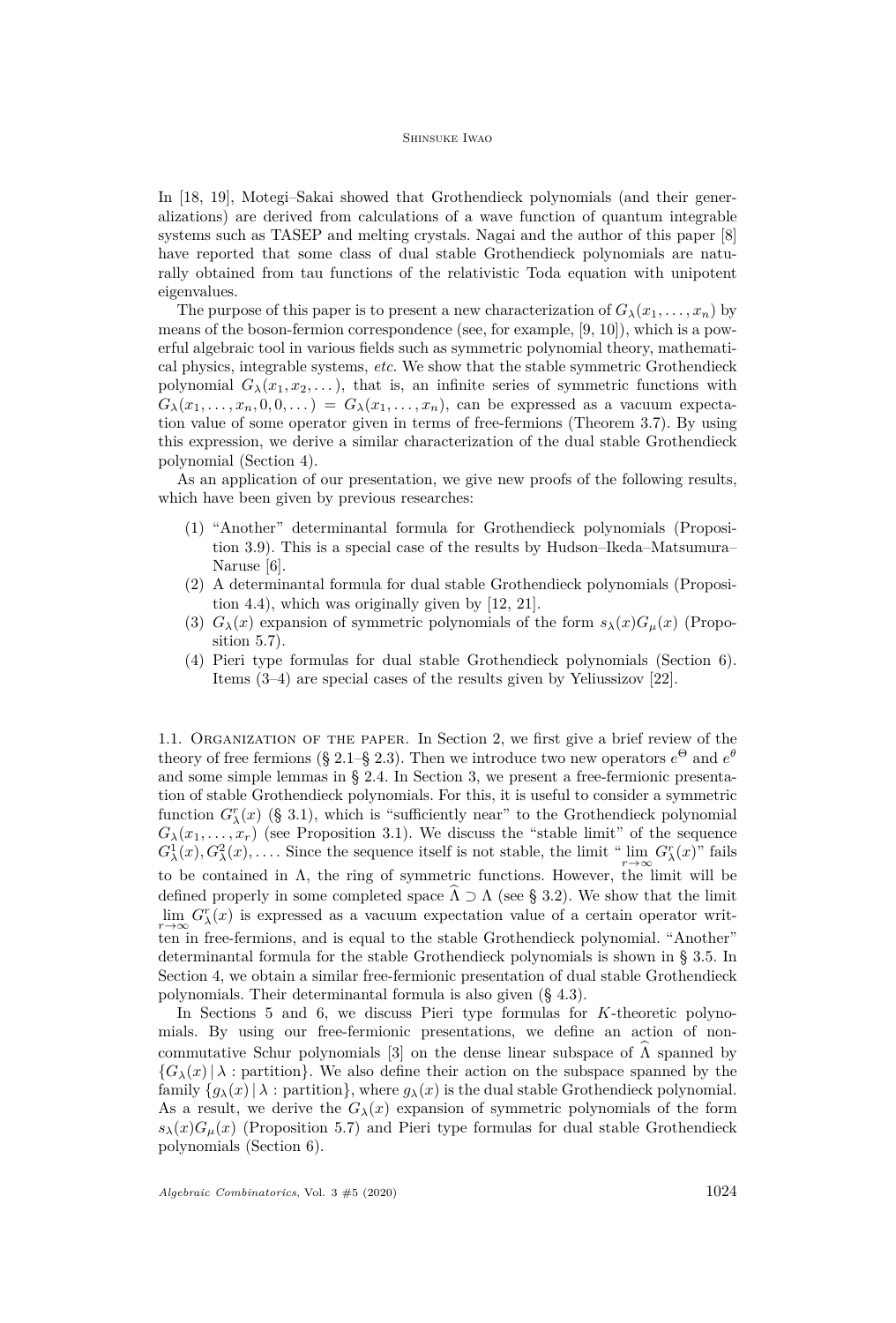In [\[18,](#page-18-6) [19\]](#page-18-7), Motegi–Sakai showed that Grothendieck polynomials (and their generalizations) are derived from calculations of a wave function of quantum integrable systems such as TASEP and melting crystals. Nagai and the author of this paper [\[8\]](#page-17-4) have reported that some class of dual stable Grothendieck polynomials are naturally obtained from tau functions of the relativistic Toda equation with unipotent eigenvalues.

The purpose of this paper is to present a new characterization of  $G_{\lambda}(x_1, \ldots, x_n)$  by means of the boson-fermion correspondence (see, for example, [\[9,](#page-18-8) [10\]](#page-18-9)), which is a powerful algebraic tool in various fields such as symmetric polynomial theory, mathematical physics, integrable systems, *etc.* We show that the stable symmetric Grothendieck polynomial  $G_{\lambda}(x_1, x_2, \ldots)$ , that is, an infinite series of symmetric functions with  $G_{\lambda}(x_1,\ldots,x_n,0,0,\ldots) = G_{\lambda}(x_1,\ldots,x_n)$ , can be expressed as a vacuum expectation value of some operator given in terms of free-fermions (Theorem [3.7\)](#page-9-0). By using this expression, we derive a similar characterization of the dual stable Grothendieck polynomial (Section [4\)](#page-10-0).

As an application of our presentation, we give new proofs of the following results, which have been given by previous researches:

- (1) "Another" determinantal formula for Grothendieck polynomials (Proposition [3.9\)](#page-9-1). This is a special case of the results by Hudson–Ikeda–Matsumura– Naruse [\[6\]](#page-17-5).
- (2) A determinantal formula for dual stable Grothendieck polynomials (Proposition [4.4\)](#page-11-0), which was originally given by [\[12,](#page-18-10) [21\]](#page-18-11).
- (3)  $G_{\lambda}(x)$  expansion of symmetric polynomials of the form  $s_{\lambda}(x)G_{\mu}(x)$  (Proposition [5.7\)](#page-13-0).
- (4) Pieri type formulas for dual stable Grothendieck polynomials (Section [6\)](#page-15-0). Items (3–4) are special cases of the results given by Yeliussizov [\[22\]](#page-18-4).

1.1. Organization of the paper. In Section [2,](#page-3-0) we first give a brief review of the theory of free fermions (§ [2.1–](#page-3-1)§ [2.3\)](#page-4-0). Then we introduce two new operators  $e^{\Theta}$  and  $e^{\theta}$ and some simple lemmas in § [2.4.](#page-5-0) In Section [3,](#page-6-0) we present a free-fermionic presentation of stable Grothendieck polynomials. For this, it is useful to consider a symmetric function  $G_{\lambda}^{r}(x)$  (§ [3.1\)](#page-6-1), which is "sufficiently near" to the Grothendieck polynomial  $G_{\lambda}(x_1,\ldots,x_r)$  (see Proposition [3.1\)](#page-6-2). We discuss the "stable limit" of the sequence  $G^1_\lambda(x)$ ,  $G^2_\lambda(x)$ , .... Since the sequence itself is not stable, the limit " $\lim_{r\to\infty} G^r_\lambda(x)$ " fails to be contained in  $\Lambda$ , the ring of symmetric functions. However, the limit will be defined properly in some completed space  $\Lambda \supset \Lambda$  (see § [3.2\)](#page-7-0). We show that the limit  $\lim_{r\to\infty} G_{\lambda}^r(x)$  is expressed as a vacuum expectation value of a certain operator written in free-fermions, and is equal to the stable Grothendieck polynomial. "Another" determinantal formula for the stable Grothendieck polynomials is shown in § [3.5.](#page-9-2) In Section [4,](#page-10-0) we obtain a similar free-fermionic presentation of dual stable Grothendieck polynomials. Their determinantal formula is also given (§ [4.3\)](#page-11-1).

In Sections [5](#page-11-2) and [6,](#page-15-0) we discuss Pieri type formulas for *K*-theoretic polynomials. By using our free-fermionic presentations, we define an action of non-commutative Schur polynomials [\[3\]](#page-17-6) on the dense linear subspace of  $\Lambda$  spanned by  ${G_{\lambda}(x) | \lambda :}$  partition. We also define their action on the subspace spanned by the family  ${g_{\lambda}(x) | \lambda :}$  partition, where  $g_{\lambda}(x)$  is the dual stable Grothendieck polynomial. As a result, we derive the  $G_{\lambda}(x)$  expansion of symmetric polynomials of the form  $s_{\lambda}(x)G_{\mu}(x)$  (Proposition [5.7\)](#page-13-0) and Pieri type formulas for dual stable Grothendieck polynomials (Section [6\)](#page-15-0).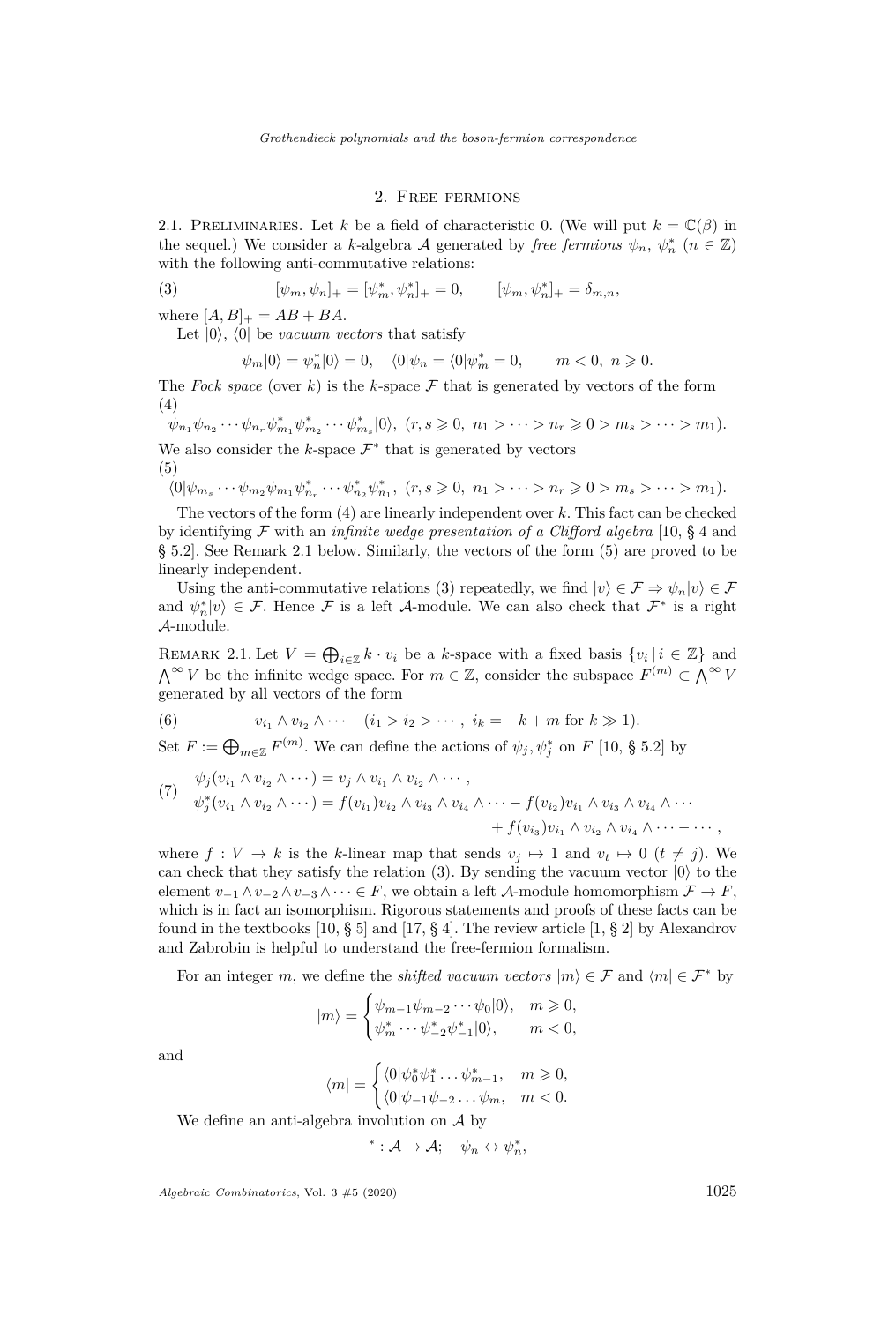## 2. Free fermions

<span id="page-3-1"></span><span id="page-3-0"></span>2.1. PRELIMINARIES. Let *k* be a field of characteristic 0. (We will put  $k = \mathbb{C}(\beta)$  in the sequel.) We consider a *k*-algebra A generated by *free fermions*  $\psi_n$ ,  $\psi_n^*$  ( $n \in \mathbb{Z}$ ) with the following anti-commutative relations:

(3) 
$$
[\psi_m, \psi_n]_+ = [\psi_m^*, \psi_n^*]_+ = 0, \qquad [\psi_m, \psi_n^*]_+ = \delta_{m,n},
$$

where  $[A, B]_{+} = AB + BA$ .

Let  $|0\rangle$ ,  $\langle 0|$  be *vacuum vectors* that satisfy

<span id="page-3-5"></span>
$$
\psi_m|0\rangle = \psi_n^*|0\rangle = 0, \quad \langle 0|\psi_n = \langle 0|\psi_m^* = 0, \quad m < 0, \ n \geq 0.
$$

The *Fock space* (over  $k$ ) is the  $k$ -space  $\mathcal F$  that is generated by vectors of the form (4)

<span id="page-3-2"></span>
$$
\psi_{n_1}\psi_{n_2}\cdots\psi_{n_r}\psi_{m_1}^*\psi_{m_2}^*\cdots\psi_{m_s}^*[0], (r,s\geq 0, n_1 > \cdots > n_r \geq 0 > m_s > \cdots > m_1).
$$

We also consider the  $k$ -space  $\mathcal{F}^*$  that is generated by vectors (5)

<span id="page-3-4"></span>
$$
\langle 0 | \psi_{m_s} \cdots \psi_{m_2} \psi_{m_1} \psi_{n_r}^* \cdots \psi_{n_2}^* \psi_{n_1}^*, \ (r, s \geq 0, \ n_1 > \cdots > n_r \geq 0 > m_s > \cdots > m_1).
$$

The vectors of the form [\(4\)](#page-3-2) are linearly independent over *k*. This fact can be checked by identifying F with an *infinite wedge presentation of a Clifford algebra* [\[10,](#page-18-9) § 4 and § 5.2]. See Remark [2.1](#page-3-3) below. Similarly, the vectors of the form [\(5\)](#page-3-4) are proved to be linearly independent.

Using the anti-commutative relations [\(3\)](#page-3-5) repeatedly, we find  $|v\rangle \in \mathcal{F} \Rightarrow \psi_n |v\rangle \in \mathcal{F}$ and  $\psi_n^*|v\rangle \in \mathcal{F}$ . Hence  $\mathcal F$  is a left A-module. We can also check that  $\mathcal F^*$  is a right A-module.

<span id="page-3-3"></span>REMARK 2.1. Let  $V = \bigoplus_{i \in \mathbb{Z}} k \cdot v_i$  be a *k*-space with a fixed basis  $\{v_i \mid i \in \mathbb{Z}\}\$ and  $\bigwedge^{\infty} V$  be the infinite wedge space. For  $m \in \mathbb{Z}$ , consider the subspace  $F^{(m)} \subset \bigwedge^{\infty} V$ generated by all vectors of the form

<span id="page-3-6"></span>(6) 
$$
v_{i_1} \wedge v_{i_2} \wedge \cdots \quad (i_1 > i_2 > \cdots, i_k = -k + m \text{ for } k \gg 1).
$$

Set  $F := \bigoplus_{m \in \mathbb{Z}} F^{(m)}$ . We can define the actions of  $\psi_j, \psi_j^*$  on  $F$  [\[10,](#page-18-9) § 5.2] by

<span id="page-3-7"></span>(7) 
$$
\begin{aligned}\n\psi_j(v_{i_1} \wedge v_{i_2} \wedge \cdots) &= v_j \wedge v_{i_1} \wedge v_{i_2} \wedge \cdots, \\
\psi_j^*(v_{i_1} \wedge v_{i_2} \wedge \cdots) &= f(v_{i_1})v_{i_2} \wedge v_{i_3} \wedge v_{i_4} \wedge \cdots - f(v_{i_2})v_{i_1} \wedge v_{i_3} \wedge v_{i_4} \wedge \cdots \\
&+ f(v_{i_3})v_{i_1} \wedge v_{i_2} \wedge v_{i_4} \wedge \cdots - \cdots,\n\end{aligned}
$$

where  $f: V \to k$  is the *k*-linear map that sends  $v_i \mapsto 1$  and  $v_t \mapsto 0$  ( $t \neq j$ ). We can check that they satisfy the relation  $(3)$ . By sending the vacuum vector  $|0\rangle$  to the element  $v_{-1} \wedge v_{-2} \wedge v_{-3} \wedge \cdots \in F$ , we obtain a left A-module homomorphism  $\mathcal{F} \to F$ , which is in fact an isomorphism. Rigorous statements and proofs of these facts can be found in the textbooks [\[10,](#page-18-9)  $\S 5$ ] and [\[17,](#page-18-12)  $\S 4$ ]. The review article [\[1,](#page-17-7)  $\S 2$ ] by Alexandrov and Zabrobin is helpful to understand the free-fermion formalism.

For an integer *m*, we define the *shifted vacuum vectors*  $|m\rangle \in \mathcal{F}$  and  $\langle m | \in \mathcal{F}^*$  by

$$
|m\rangle = \begin{cases} \psi_{m-1}\psi_{m-2}\cdots\psi_0|0\rangle, & m\geqslant 0,\\ \psi_m^*\cdots\psi_{-2}^*\psi_{-1}^*|0\rangle, & m<0, \end{cases}
$$

and

$$
\langle m| = \begin{cases} \langle 0|\psi_0^*\psi_1^*\dots\psi_{m-1}^*, & m\geqslant 0,\\ \langle 0|\psi_{-1}\psi_{-2}\dots\psi_m, & m<0. \end{cases}
$$

We define an anti-algebra involution on A by

$$
^*:\mathcal{A}\to\mathcal{A};\quad \psi_n\leftrightarrow\psi_n^*,
$$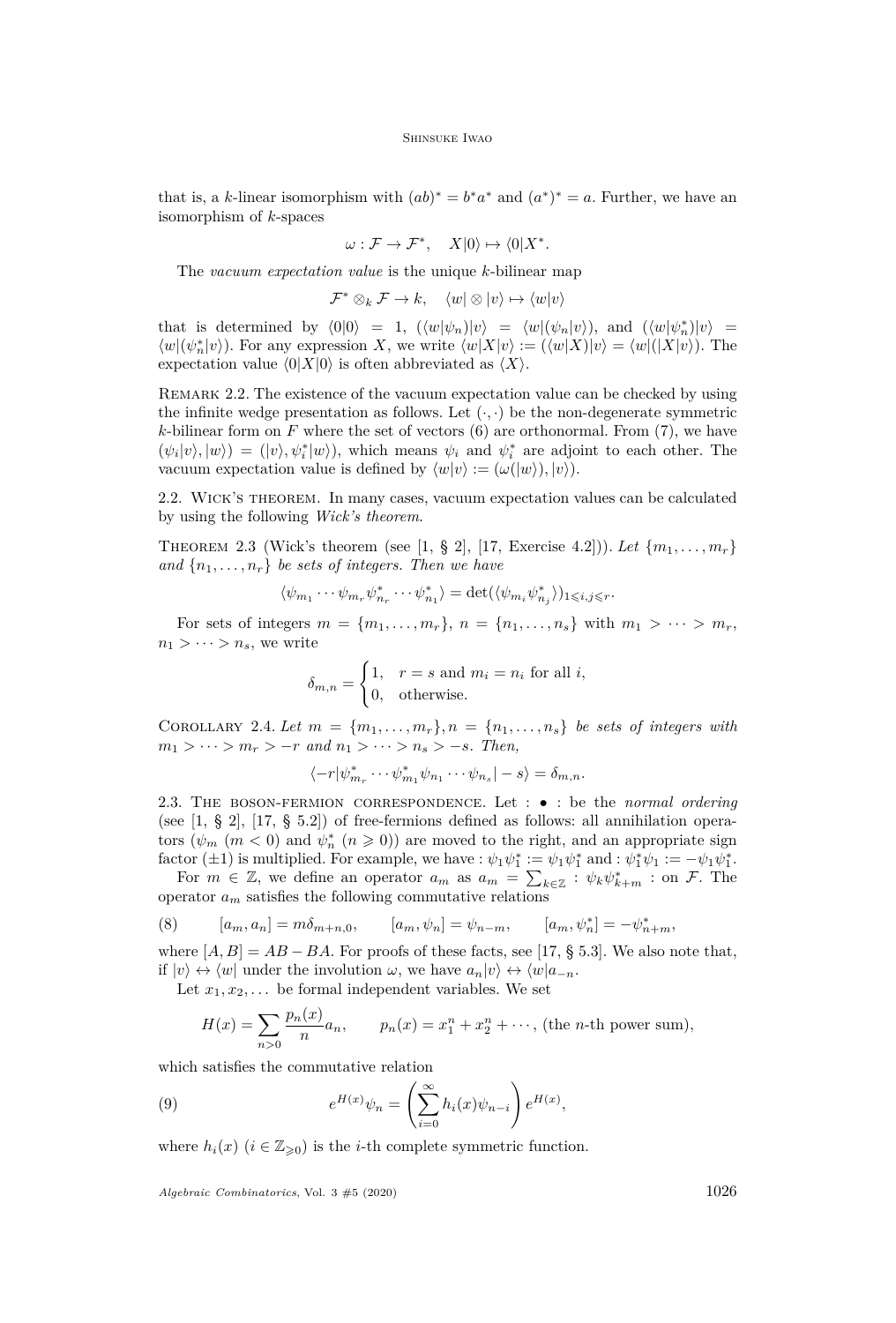that is, a *k*-linear isomorphism with  $(ab)^* = b^*a^*$  and  $(a^*)^* = a$ . Further, we have an isomorphism of *k*-spaces

$$
\omega : \mathcal{F} \to \mathcal{F}^*, \quad X|0\rangle \mapsto \langle 0|X^*.
$$

The *vacuum expectation value* is the unique *k*-bilinear map

 $\mathcal{F}^* \otimes_k \mathcal{F} \to k$ ,  $\langle w | \otimes | v \rangle \mapsto \langle w | v \rangle$ 

that is determined by  $\langle 0|0 \rangle = 1$ ,  $(\langle w|\psi_n)|v \rangle = \langle w|(\psi_n|v \rangle)$ , and  $(\langle w|\psi_n^* | v \rangle) =$  $\langle w | (\psi_n^* | v \rangle)$ . For any expression *X*, we write  $\langle w | X | v \rangle := (\langle w | X | v \rangle) = \langle w | (X | v \rangle)$ . The expectation value  $\langle 0|X|0\rangle$  is often abbreviated as  $\langle X\rangle$ .

REMARK 2.2. The existence of the vacuum expectation value can be checked by using the infinite wedge presentation as follows. Let  $(\cdot, \cdot)$  be the non-degenerate symmetric  $k$ -bilinear form on  $F$  where the set of vectors  $(6)$  are orthonormal. From  $(7)$ , we have  $(\psi_i|v\rangle, |w\rangle) = (|v\rangle, \psi_i^*|w\rangle)$ , which means  $\psi_i$  and  $\psi_i^*$  are adjoint to each other. The vacuum expectation value is defined by  $\langle w|v \rangle := (\omega(|w\rangle), |v\rangle).$ 

2.2. Wick's theorem. In many cases, vacuum expectation values can be calculated by using the following *Wick's theorem*.

<span id="page-4-2"></span>THEOREM 2.3 (Wick's theorem (see [\[1,](#page-17-7) § 2], [\[17,](#page-18-12) Exercise 4.2])). Let  $\{m_1, \ldots, m_r\}$ and  $\{n_1, \ldots, n_r\}$  be sets of integers. Then we have

$$
\langle \psi_{m_1}\cdots \psi_{m_r}\psi^*_{n_r}\cdots \psi^*_{n_1}\rangle=\det(\langle \psi_{m_i}\psi^*_{n_j}\rangle)_{1\leqslant i,j\leqslant r}.
$$

For sets of integers  $m = \{m_1, \ldots, m_r\}$ ,  $n = \{n_1, \ldots, n_s\}$  with  $m_1 > \cdots > m_r$ ,  $n_1 > \cdots > n_s$ , we write

$$
\delta_{m,n} = \begin{cases} 1, & r = s \text{ and } m_i = n_i \text{ for all } i, \\ 0, & \text{otherwise.} \end{cases}
$$

<span id="page-4-3"></span>COROLLARY 2.4. Let  $m = \{m_1, \ldots, m_r\}, n = \{n_1, \ldots, n_s\}$  be sets of integers with  $m_1 > \cdots > m_r > -r$  and  $n_1 > \cdots > n_s > -s$ . Then,

$$
\langle -r | \psi^*_{m_r} \cdots \psi^*_{m_1} \psi_{n_1} \cdots \psi_{n_s} | -s \rangle = \delta_{m,n}.
$$

<span id="page-4-0"></span>2.3. The boson-fermion correspondence. Let : • : be the *normal ordering* (see [\[1,](#page-17-7) § 2], [\[17,](#page-18-12) § 5.2]) of free-fermions defined as follows: all annihilation operators  $(\psi_m \ (m \leq 0)$  and  $\psi_n^* \ (n \geq 0))$  are moved to the right, and an appropriate sign factor ( $\pm 1$ ) is multiplied. For example, we have :  $\psi_1 \psi_1^* := \psi_1 \psi_1^*$  and :  $\psi_1^* \psi_1 := -\psi_1 \psi_1^*$ .

For  $m \in \mathbb{Z}$ , we define an operator  $a_m$  as  $a_m = \sum_{k \in \mathbb{Z}} : \psi_k \psi_{k+m}^* :$  on F. The operator  $a_m$  satisfies the following commutative relations

(8) 
$$
[a_m, a_n] = m\delta_{m+n,0}, \qquad [a_m, \psi_n] = \psi_{n-m}, \qquad [a_m, \psi_n^*] = -\psi_{n+m}^*,
$$

where  $[A, B] = AB - BA$ . For proofs of these facts, see [\[17,](#page-18-12) § 5.3]. We also note that, if  $|v\rangle \leftrightarrow \langle w|$  under the involution  $\omega$ , we have  $a_n|v\rangle \leftrightarrow \langle w|a_{-n}$ .

Let  $x_1, x_2, \ldots$  be formal independent variables. We set

<span id="page-4-1"></span>
$$
H(x) = \sum_{n>0} \frac{p_n(x)}{n} a_n, \qquad p_n(x) = x_1^n + x_2^n + \cdots, \text{ (the } n\text{-th power sum)},
$$

which satisfies the commutative relation

(9) 
$$
e^{H(x)}\psi_n = \left(\sum_{i=0}^{\infty} h_i(x)\psi_{n-i}\right) e^{H(x)},
$$

where  $h_i(x)$  ( $i \in \mathbb{Z}_{\geq 0}$ ) is the *i*-th complete symmetric function.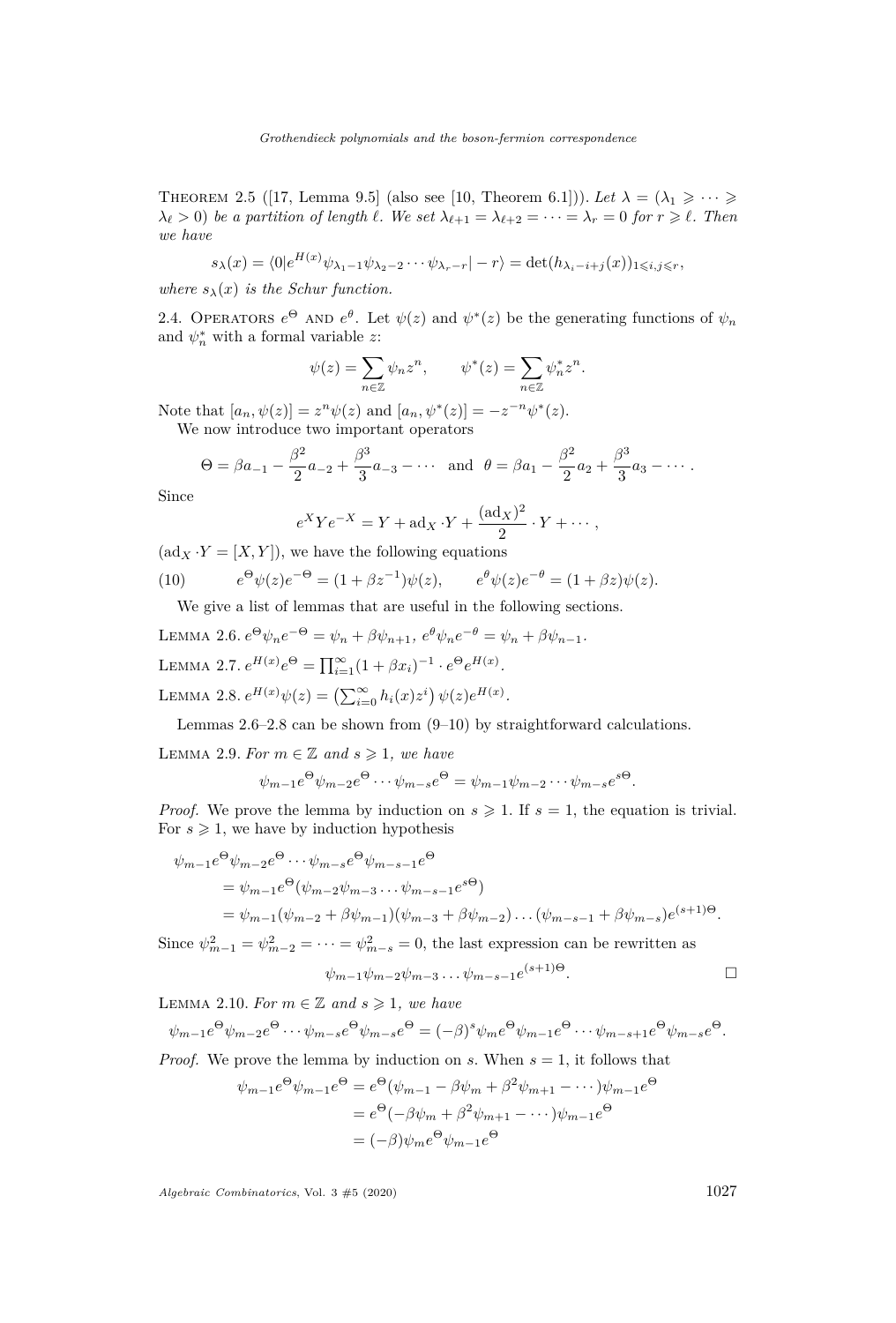<span id="page-5-5"></span>THEOREM 2.5 ([\[17,](#page-18-12) Lemma 9.5] (also see [\[10,](#page-18-9) Theorem 6.1])). Let  $\lambda = (\lambda_1 \geq \cdots \geq \lambda_n)$  $\lambda_{\ell} > 0$ ) *be a partition of length*  $\ell$ *. We set*  $\lambda_{\ell+1} = \lambda_{\ell+2} = \cdots = \lambda_r = 0$  *for*  $r \geq \ell$ *. Then we have*

$$
s_{\lambda}(x) = \langle 0 | e^{H(x)} \psi_{\lambda_1 - 1} \psi_{\lambda_2 - 2} \cdots \psi_{\lambda_r - r} | - r \rangle = \det(h_{\lambda_i - i + j}(x))_{1 \leq i, j \leq r},
$$

*where*  $s_{\lambda}(x)$  *is the Schur function.* 

<span id="page-5-0"></span>2.4. OPERATORS  $e^{\Theta}$  AND  $e^{\theta}$ . Let  $\psi(z)$  and  $\psi^*(z)$  be the generating functions of  $\psi_n$ and  $\psi_n^*$  with a formal variable *z*:

$$
\psi(z)=\sum_{n\in\mathbb{Z}}\psi_nz^n,\qquad \psi^*(z)=\sum_{n\in\mathbb{Z}}\psi_n^*z^n.
$$

Note that  $[a_n, \psi(z)] = z^n \psi(z)$  and  $[a_n, \psi^*(z)] = -z^{-n} \psi^*(z)$ . We now introduce two important operators

$$
\Theta = \beta a_{-1} - \frac{\beta^2}{2} a_{-2} + \frac{\beta^3}{3} a_{-3} - \cdots
$$
 and  $\theta = \beta a_1 - \frac{\beta^2}{2} a_2 + \frac{\beta^3}{3} a_3 - \cdots$ .

Since

$$
e^{X}Ye^{-X} = Y + ad_X \cdot Y + \frac{(ad_X)^2}{2} \cdot Y + \cdots,
$$

 $(\text{ad}_X \cdot Y = [X, Y])$ , we have the following equations

(10) 
$$
e^{\Theta} \psi(z) e^{-\Theta} = (1 + \beta z^{-1}) \psi(z), \qquad e^{\theta} \psi(z) e^{-\theta} = (1 + \beta z) \psi(z).
$$

<span id="page-5-3"></span>We give a list of lemmas that are useful in the following sections.

<span id="page-5-1"></span>LEMMA 2.6. 
$$
e^{\Theta} \psi_n e^{-\Theta} = \psi_n + \beta \psi_{n+1}
$$
,  $e^{\theta} \psi_n e^{-\theta} = \psi_n + \beta \psi_{n-1}$ .  
LEMMA 2.7.  $e^{H(x)} e^{\Theta} = \prod_{i=1}^{\infty} (1 + \beta x_i)^{-1} \cdot e^{\Theta} e^{H(x)}$ .  
LEMMA 2.8.  $e^{H(x)} \psi(z) = (\sum_{i=0}^{\infty} h_i(x) z^i) \psi(z) e^{H(x)}$ .

<span id="page-5-2"></span>Lemmas [2.6–](#page-5-1)[2.8](#page-5-2) can be shown from [\(9](#page-4-1)[–10\)](#page-5-3) by straightforward calculations.

<span id="page-5-4"></span>LEMMA 2.9. For  $m \in \mathbb{Z}$  and  $s \geq 1$ , we have

$$
\psi_{m-1}e^{\Theta}\psi_{m-2}e^{\Theta}\cdots\psi_{m-s}e^{\Theta}=\psi_{m-1}\psi_{m-2}\cdots\psi_{m-s}e^{s\Theta}.
$$

*Proof.* We prove the lemma by induction on  $s \geqslant 1$ . If  $s = 1$ , the equation is trivial. For  $s \geq 1$ , we have by induction hypothesis

$$
\psi_{m-1}e^{\Theta}\psi_{m-2}e^{\Theta}\cdots\psi_{m-s}e^{\Theta}\psi_{m-s-1}e^{\Theta}
$$
\n
$$
= \psi_{m-1}e^{\Theta}(\psi_{m-2}\psi_{m-3}\cdots\psi_{m-s-1}e^{s\Theta})
$$
\n
$$
= \psi_{m-1}(\psi_{m-2} + \beta\psi_{m-1})(\psi_{m-3} + \beta\psi_{m-2})\cdots(\psi_{m-s-1} + \beta\psi_{m-s})e^{(s+1)\Theta}.
$$

Since  $\psi_{m-1}^2 = \psi_{m-2}^2 = \cdots = \psi_{m-s}^2 = 0$ , the last expression can be rewritten as

$$
\psi_{m-1}\psi_{m-2}\psi_{m-3}\dots\psi_{m-s-1}e^{(s+1)\Theta}.
$$

LEMMA 2.10. For  $m \in \mathbb{Z}$  and  $s \geq 1$ , we have

$$
\psi_{m-1}e^{\Theta}\psi_{m-2}e^{\Theta}\cdots\psi_{m-s}e^{\Theta}\psi_{m-s}e^{\Theta}=(-\beta)^s\psi_{m}e^{\Theta}\psi_{m-1}e^{\Theta}\cdots\psi_{m-s+1}e^{\Theta}\psi_{m-s}e^{\Theta}.
$$

*Proof.* We prove the lemma by induction on *s*. When  $s = 1$ , it follows that

$$
\psi_{m-1}e^{\Theta}\psi_{m-1}e^{\Theta} = e^{\Theta}(\psi_{m-1} - \beta\psi_m + \beta^2\psi_{m+1} - \cdots)\psi_{m-1}e^{\Theta}
$$

$$
= e^{\Theta}(-\beta\psi_m + \beta^2\psi_{m+1} - \cdots)\psi_{m-1}e^{\Theta}
$$

$$
= (-\beta)\psi_m e^{\Theta}\psi_{m-1}e^{\Theta}
$$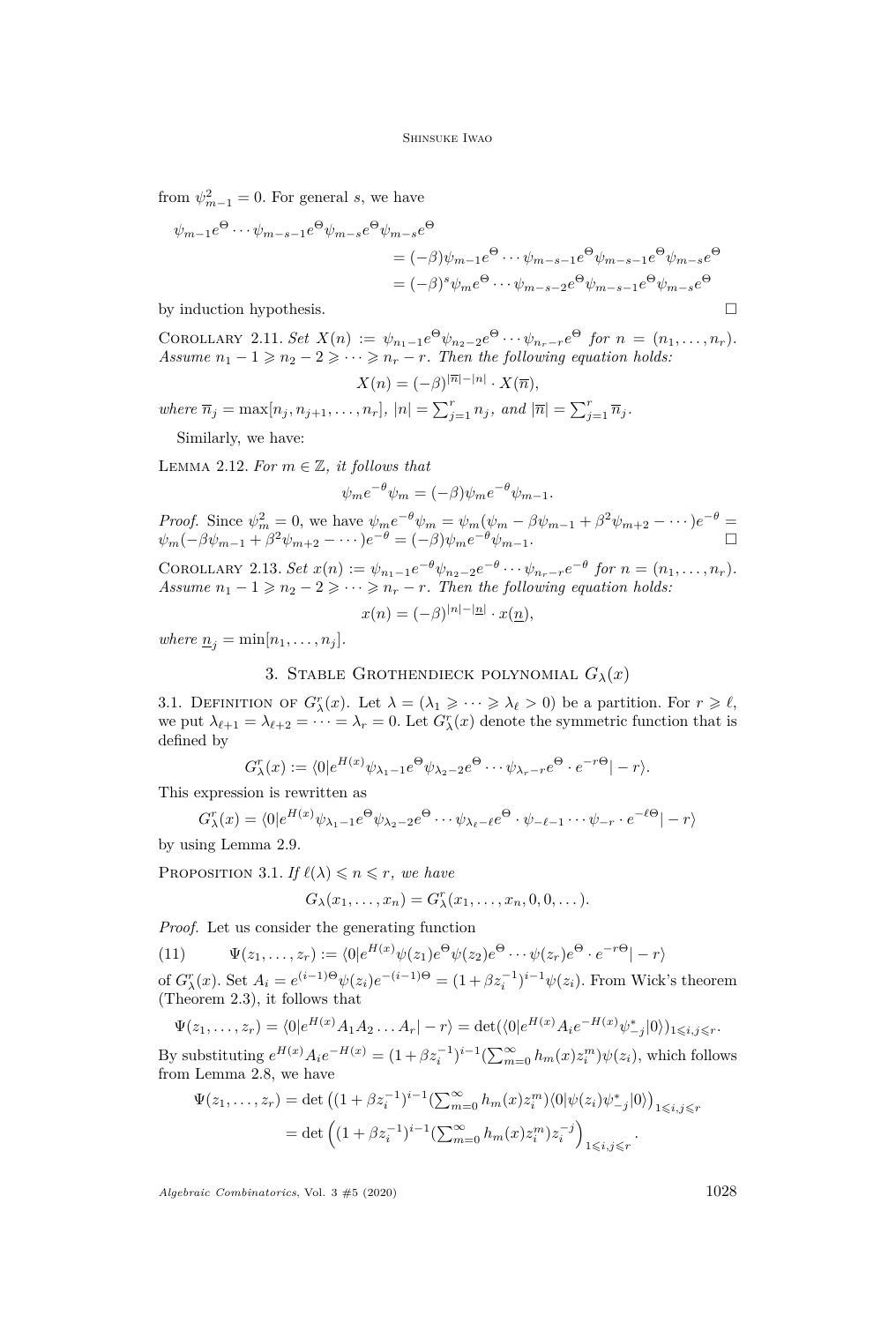from  $\psi_{m-1}^2 = 0$ . For general *s*, we have

$$
\psi_{m-1}e^{\Theta} \cdots \psi_{m-s-1}e^{\Theta}\psi_{m-s}e^{\Theta}\psi_{m-s}e^{\Theta}
$$
\n
$$
= (-\beta)\psi_{m-1}e^{\Theta} \cdots \psi_{m-s-1}e^{\Theta}\psi_{m-s-1}e^{\Theta}\psi_{m-s}e^{\Theta}
$$
\n
$$
= (-\beta)^{s}\psi_{m}e^{\Theta} \cdots \psi_{m-s-2}e^{\Theta}\psi_{m-s-1}e^{\Theta}\psi_{m-s}e^{\Theta}
$$

by induction hypothesis.  $\Box$ 

<span id="page-6-3"></span>COROLLARY 2.11. Set  $X(n) := \psi_{n_1-1}e^{\Theta}\psi_{n_2-2}e^{\Theta}\cdots\psi_{n_r-r}e^{\Theta}$  for  $n = (n_1,\ldots,n_r)$ . *Assume*  $n_1 - 1 \geq n_2 - 2 \geq \cdots \geq n_r - r$ . Then the following equation holds:

$$
X(n) = (-\beta)^{|\overline{n}| - |n|} \cdot X(\overline{n}),
$$

where  $\overline{n}_j = \max[n_j, n_{j+1}, \ldots, n_r]$ ,  $|n| = \sum_{j=1}^r n_j$ , and  $|\overline{n}| = \sum_{j=1}^r \overline{n}_j$ .

Similarly, we have:

LEMMA 2.12. For  $m \in \mathbb{Z}$ , it follows that

$$
\psi_m e^{-\theta} \psi_m = (-\beta) \psi_m e^{-\theta} \psi_{m-1}.
$$

*Proof.* Since  $\psi_m^2 = 0$ , we have  $\psi_m e^{-\theta} \psi_m = \psi_m (\psi_m - \beta \psi_{m-1} + \beta^2 \psi_{m+2} - \cdots) e^{-\theta} =$  $\psi_m(-\beta \psi_{m-1} + \beta^2 \psi_{m+2} - \cdots) e^{-\theta} = (-\beta) \psi_m e^{-\theta} \psi_{m-1}.$ 

COROLLARY 2.13. Set  $x(n) := \psi_{n_1-1}e^{-\theta}\psi_{n_2-2}e^{-\theta}\cdots\psi_{n_r-r}e^{-\theta}$  for  $n = (n_1,\ldots,n_r)$ . *Assume*  $n_1 - 1 \geq n_2 - 2 \geq \cdots \geq n_r - r$ . Then the following equation holds:

$$
x(n) = (-\beta)^{|n| - |n|} \cdot x(\underline{n}),
$$

*where*  $\underline{n}_j = \min[n_1, \ldots, n_j].$ 

# 3. STABLE GROTHENDIECK POLYNOMIAL  $G_{\lambda}(x)$

<span id="page-6-1"></span><span id="page-6-0"></span>3.1. DEFINITION OF  $G^r_\lambda(x)$ . Let  $\lambda = (\lambda_1 \geqslant \cdots \geqslant \lambda_\ell > 0)$  be a partition. For  $r \geqslant \ell$ , we put  $\lambda_{\ell+1} = \lambda_{\ell+2} = \cdots = \lambda_r = 0$ . Let  $G^r_\lambda(x)$  denote the symmetric function that is defined by

$$
G_{\lambda}^{r}(x) := \langle 0 | e^{H(x)} \psi_{\lambda_1 - 1} e^{\Theta} \psi_{\lambda_2 - 2} e^{\Theta} \cdots \psi_{\lambda_r - r} e^{\Theta} \cdot e^{-r\Theta} | - r \rangle.
$$

This expression is rewritten as

$$
G_{\lambda}^{r}(x) = \langle 0|e^{H(x)}\psi_{\lambda_{1}-1}e^{\Theta}\psi_{\lambda_{2}-2}e^{\Theta}\cdots\psi_{\lambda_{\ell}-\ell}e^{\Theta}\cdot\psi_{-\ell-1}\cdots\psi_{-r}\cdot e^{-\ell\Theta}|-r\rangle
$$

by using Lemma [2.9.](#page-5-4)

<span id="page-6-2"></span>PROPOSITION 3.1. *If*  $\ell(\lambda) \leq n \leq r$ *, we have* 

$$
G_{\lambda}(x_1,\ldots,x_n)=G_{\lambda}^r(x_1,\ldots,x_n,0,0,\ldots).
$$

*Proof.* Let us consider the generating function

(11)  $\Psi(z_1, \ldots, z_r) := \langle 0 | e^{H(x)} \psi(z_1) e^{\Theta} \psi(z_2) e^{\Theta} \cdots \psi(z_r) e^{\Theta} \cdot e^{-r\Theta} | -r \rangle$ 

of  $G_{\lambda}^{r}(x)$ . Set  $A_{i} = e^{(i-1)\Theta} \psi(z_{i})e^{-(i-1)\Theta} = (1 + \beta z_{i}^{-1})^{i-1}\psi(z_{i})$ . From Wick's theorem (Theorem [2.3\)](#page-4-2), it follows that

$$
\Psi(z_1, ..., z_r) = \langle 0 | e^{H(x)} A_1 A_2 ... A_r | -r \rangle = \det(\langle 0 | e^{H(x)} A_i e^{-H(x)} \psi^*_{-j} | 0 \rangle)_{1 \leq i, j \leq r}.
$$

By substituting  $e^{H(x)} A_i e^{-H(x)} = (1 + \beta z_i^{-1})^{i-1} (\sum_{m=0}^{\infty} h_m(x) z_i^m) \psi(z_i)$ , which follows from Lemma [2.8,](#page-5-2) we have

$$
\Psi(z_1, \dots, z_r) = \det \left( (1 + \beta z_i^{-1})^{i-1} \left( \sum_{m=0}^{\infty} h_m(x) z_i^m \right) \langle 0 | \psi(z_i) \psi^*_{-j} | 0 \rangle \right)_{1 \le i, j \le r}
$$

$$
= \det \left( (1 + \beta z_i^{-1})^{i-1} \left( \sum_{m=0}^{\infty} h_m(x) z_i^m \right) z_i^{-j} \right)_{1 \le i, j \le r}.
$$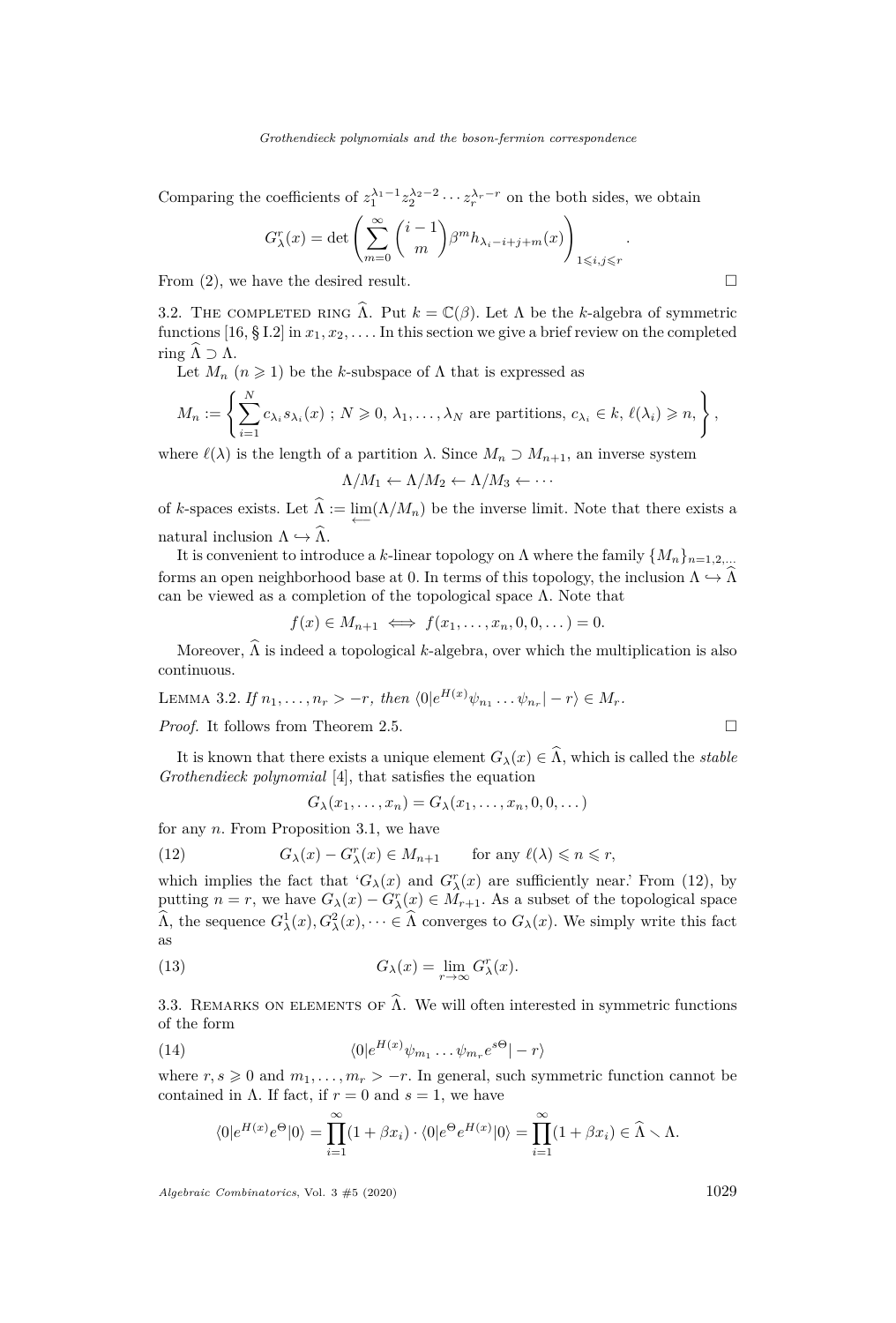Comparing the coefficients of  $z_1^{\lambda_1-1} z_2^{\lambda_2-2} \cdots z_r^{\lambda_r-r}$  on the both sides, we obtain

$$
G_{\lambda}^{r}(x) = \det \left( \sum_{m=0}^{\infty} {i-1 \choose m} \beta^{m} h_{\lambda_{i}-i+j+m}(x) \right)_{1 \leq i,j \leq r}
$$

*.*

From  $(2)$ , we have the desired result.

<span id="page-7-0"></span>3.2. THE COMPLETED RING  $\hat{\Lambda}$ . Put  $k = \mathbb{C}(\beta)$ . Let  $\Lambda$  be the *k*-algebra of symmetric functions [\[16,](#page-18-2) § I.2] in  $x_1, x_2, \ldots$  In this section we give a brief review on the completed ring  $\widehat{\Lambda} \supset \Lambda$ .

Let  $M_n$   $(n \geq 1)$  be the *k*-subspace of  $\Lambda$  that is expressed as

$$
M_n := \left\{ \sum_{i=1}^N c_{\lambda_i} s_{\lambda_i}(x) \; ; \; N \geqslant 0, \, \lambda_1, \dots, \lambda_N \text{ are partitions, } c_{\lambda_i} \in k, \, \ell(\lambda_i) \geqslant n, \right\},\
$$

where  $\ell(\lambda)$  is the length of a partition  $\lambda$ . Since  $M_n \supset M_{n+1}$ , an inverse system

$$
\Lambda/M_1 \leftarrow \Lambda/M_2 \leftarrow \Lambda/M_3 \leftarrow \cdots
$$

of *k*-spaces exists. Let  $\Lambda := \lim_{\longleftarrow} (\Lambda/M_n)$  be the inverse limit. Note that there exists a natural inclusion  $\Lambda \hookrightarrow \widehat{\Lambda}$ .

It is convenient to introduce a *k*-linear topology on  $\Lambda$  where the family  $\{M_n\}_{n=1,2,...}$ forms an open neighborhood base at 0. In terms of this topology, the inclusion  $\Lambda \hookrightarrow \Lambda$ can be viewed as a completion of the topological space  $\Lambda$ . Note that

$$
f(x) \in M_{n+1} \iff f(x_1, \ldots, x_n, 0, 0, \ldots) = 0.
$$

Moreover,  $\widehat{\Lambda}$  is indeed a topological *k*-algebra, over which the multiplication is also continuous.

<span id="page-7-3"></span>LEMMA 3.2. *If*  $n_1, ..., n_r > -r$ , then  $\langle 0 | e^{H(x)} \psi_{n_1} ... \psi_{n_r} | -r \rangle \in M_r$ .

*Proof.* It follows from Theorem [2.5.](#page-5-5)

It is known that there exists a unique element  $G_{\lambda}(x) \in \hat{\Lambda}$ , which is called the *stable Grothendieck polynomial* [\[4\]](#page-17-3), that satisfies the equation

<span id="page-7-4"></span><span id="page-7-1"></span>
$$
G_{\lambda}(x_1,\ldots,x_n)=G_{\lambda}(x_1,\ldots,x_n,0,0,\ldots)
$$

for any *n*. From Proposition [3.1,](#page-6-2) we have

(12) 
$$
G_{\lambda}(x) - G_{\lambda}^{r}(x) \in M_{n+1} \quad \text{for any } \ell(\lambda) \leq n \leq r,
$$

which implies the fact that  ${}^{'}G_{\lambda}(x)$  and  $G_{\lambda}^{r}(x)$  are sufficiently near.' From [\(12\)](#page-7-1), by putting  $n = r$ , we have  $G_{\lambda}(x) - G_{\lambda}^{r}(x) \in M_{r+1}$ . As a subset of the topological space  $\widehat{\Lambda}$ , the sequence  $G^1_\lambda(x), G^2_\lambda(x), \dots \in \widehat{\Lambda}$  converges to  $G_\lambda(x)$ . We simply write this fact as

(13) 
$$
G_{\lambda}(x) = \lim_{r \to \infty} G_{\lambda}^{r}(x).
$$

3.3. REMARKS ON ELEMENTS OF  $\hat{\Lambda}$ . We will often interested in symmetric functions of the form

(14) 
$$
\langle 0|e^{H(x)}\psi_{m_1}\dots\psi_{m_r}e^{s\Theta}|-r\rangle
$$

where  $r, s \geq 0$  and  $m_1, \ldots, m_r > -r$ . In general, such symmetric function cannot be contained in  $\Lambda$ . If fact, if  $r = 0$  and  $s = 1$ , we have

<span id="page-7-2"></span>
$$
\langle 0|e^{H(x)}e^{\Theta}|0\rangle = \prod_{i=1}^{\infty} (1+\beta x_i) \cdot \langle 0|e^{\Theta}e^{H(x)}|0\rangle = \prod_{i=1}^{\infty} (1+\beta x_i) \in \widehat{\Lambda} \setminus \Lambda.
$$

$$
\Box
$$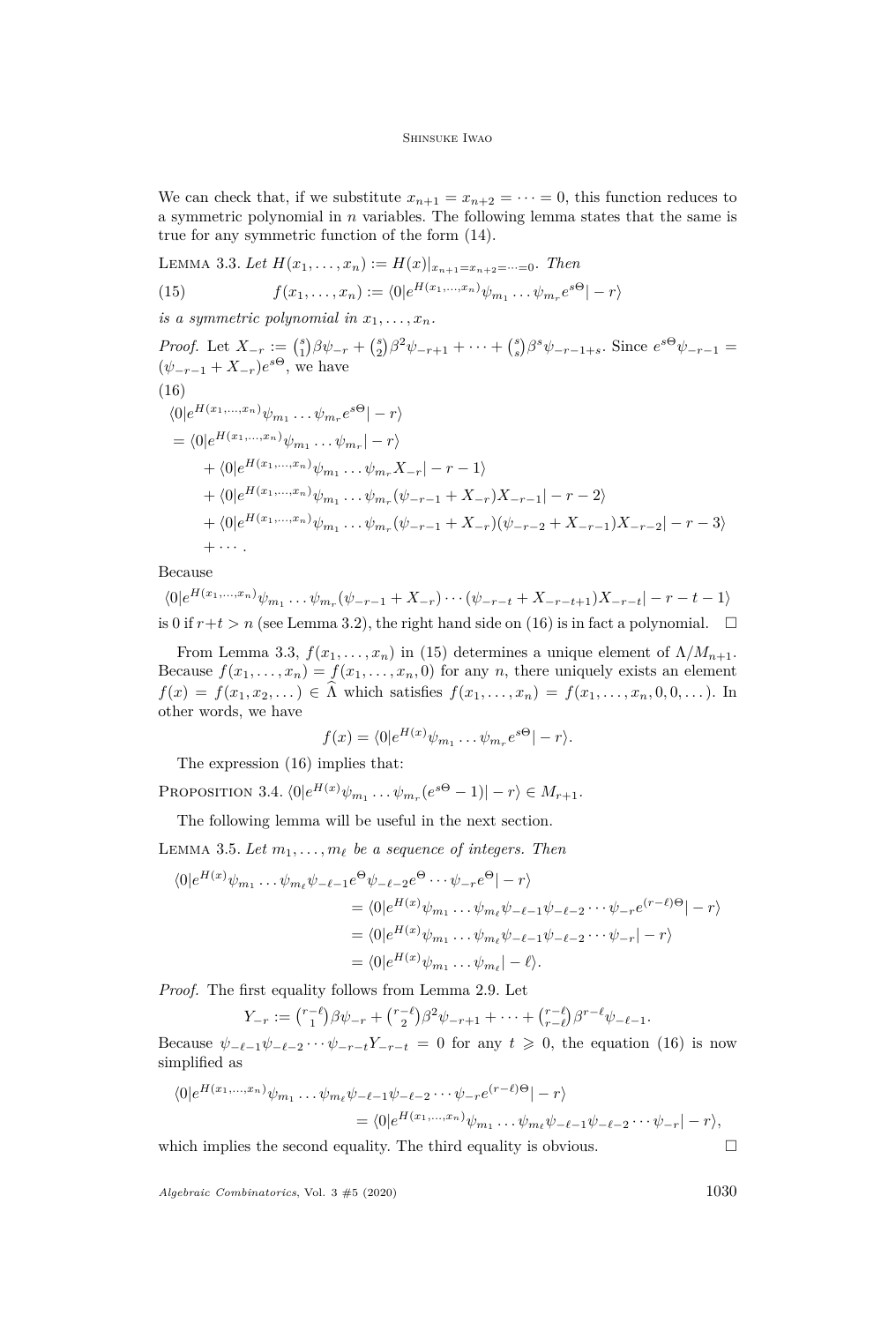We can check that, if we substitute  $x_{n+1} = x_{n+2} = \cdots = 0$ , this function reduces to a symmetric polynomial in *n* variables. The following lemma states that the same is true for any symmetric function of the form [\(14\)](#page-7-2).

<span id="page-8-1"></span>LEMMA 3.3. Let  $H(x_1, \ldots, x_n) := H(x)|_{x_{n+1} = x_{n+2} = \cdots = 0}$ . Then

<span id="page-8-2"></span>(15) 
$$
f(x_1,\ldots,x_n) := \langle 0 | e^{H(x_1,\ldots,x_n)} \psi_{m_1}\ldots\psi_{m_r} e^{s\Theta}| - r \rangle
$$

*is a symmetric polynomial in*  $x_1, \ldots, x_n$ .

<span id="page-8-0"></span>*Proof.* Let  $X_{-r} := {s \choose 1} \beta \psi_{-r} + {s \choose 2} \beta^2 \psi_{-r+1} + \cdots + {s \choose s} \beta^s \psi_{-r-1+s}$ . Since  $e^{s\Theta} \psi_{-r-1} =$  $(\psi_{-r-1} + X_{-r})e^{s\Theta}$ , we have  $\langle 0|e^{H(x_1,...,x_n)}\psi_{m_1} \dots \psi_{m_r}e^{s\Theta}| - r \rangle$  $(16)$  $= \langle 0|e^{H(x_1,...,x_n)}\psi_{m_1} \dots \psi_{m_r}|-r\rangle$  $+ \langle 0|e^{H(x_1,...,x_n)}\psi_{m_1} \dots \psi_{m_r} X_{-r}|-r-1\rangle$  $+ \langle 0|e^{H(x_1,...,x_n)}\psi_{m_1} \dots \psi_{m_r}(\psi_{-r-1} + X_{-r})X_{-r-1}| - r - 2\rangle$  $+ \langle 0|e^{H(x_1,...,x_n)}\psi_{m_1} \dots \psi_{m_r}(\psi_{-r-1} + X_{-r})(\psi_{-r-2} + X_{-r-1})X_{-r-2}| - r - 3\rangle$  $+ \cdot \cdot \cdot$ 

Because

 $\langle 0|e^{H(x_1,...,x_n)}\psi_{m_1} \dots \psi_{m_r}(\psi_{-r-1} + X_{-r})\cdots (\psi_{-r-t} + X_{-r-t+1})X_{-r-t}|-r-t-1\rangle$ is 0 if  $r+t > n$  (see Lemma [3.2\)](#page-7-3), the right hand side on [\(16\)](#page-8-0) is in fact a polynomial.  $\square$ 

From Lemma [3.3,](#page-8-1)  $f(x_1, \ldots, x_n)$  in [\(15\)](#page-8-2) determines a unique element of  $\Lambda/M_{n+1}$ . Because  $f(x_1, \ldots, x_n) = f(x_1, \ldots, x_n, 0)$  for any *n*, there uniquely exists an element  $f(x) = f(x_1, x_2, \ldots) \in \Lambda$  which satisfies  $f(x_1, \ldots, x_n) = f(x_1, \ldots, x_n, 0, 0, \ldots)$ . In other words, we have

$$
f(x) = \langle 0|e^{H(x)}\psi_{m_1}\dots\psi_{m_r}e^{s\Theta}|-r\rangle.
$$

The expression [\(16\)](#page-8-0) implies that:

<span id="page-8-4"></span>PROPOSITION 3.4.  $\langle 0 | e^{H(x)} \psi_{m_1} \dots \psi_{m_r} (e^{s\Theta} - 1) | - r \rangle \in M_{r+1}$ .

The following lemma will be useful in the next section.

<span id="page-8-3"></span>LEMMA 3.5. Let  $m_1, \ldots, m_\ell$  be a sequence of integers. Then

$$
\langle 0|e^{H(x)}\psi_{m_1}\dots\psi_{m_\ell}\psi_{-\ell-1}e^{\Theta}\psi_{-\ell-2}e^{\Theta}\dots\psi_{-r}e^{\Theta}|-r\rangle
$$
  
=\langle 0|e^{H(x)}\psi\_{m\_1}\dots\psi\_{m\_\ell}\psi\_{-\ell-1}\psi\_{-\ell-2}\dots\psi\_{-r}e^{(r-\ell)\Theta}|-r\rangle  
=\langle 0|e^{H(x)}\psi\_{m\_1}\dots\psi\_{m\_\ell}\psi\_{-\ell-1}\psi\_{-\ell-2}\dots\psi\_{-r}|-r\rangle  
=\langle 0|e^{H(x)}\psi\_{m\_1}\dots\psi\_{m\_\ell}|-\ell\rangle.

*Proof.* The first equality follows from Lemma [2.9.](#page-5-4) Let

$$
Y_{-r} := {r-\ell \choose 1} \beta \psi_{-r} + {r-\ell \choose 2} \beta^2 \psi_{-r+1} + \dots + {r-\ell \choose r-\ell} \beta^{r-\ell} \psi_{-\ell-1}.
$$

Because  $\psi_{-\ell-1}\psi_{-\ell-2}\cdots\psi_{-r-t}Y_{-r-t} = 0$  for any  $t \geq 0$ , the equation [\(16\)](#page-8-0) is now simplified as

$$
\langle 0|e^{H(x_1,\ldots,x_n)}\psi_{m_1}\ldots\psi_{m_\ell}\psi_{-\ell-1}\psi_{-\ell-2}\cdots\psi_{-r}e^{(r-\ell)\Theta}|-r\rangle
$$
  
= 
$$
\langle 0|e^{H(x_1,\ldots,x_n)}\psi_{m_1}\ldots\psi_{m_\ell}\psi_{-\ell-1}\psi_{-\ell-2}\cdots\psi_{-r}|-r\rangle,
$$

which implies the second equality. The third equality is obvious.  $\Box$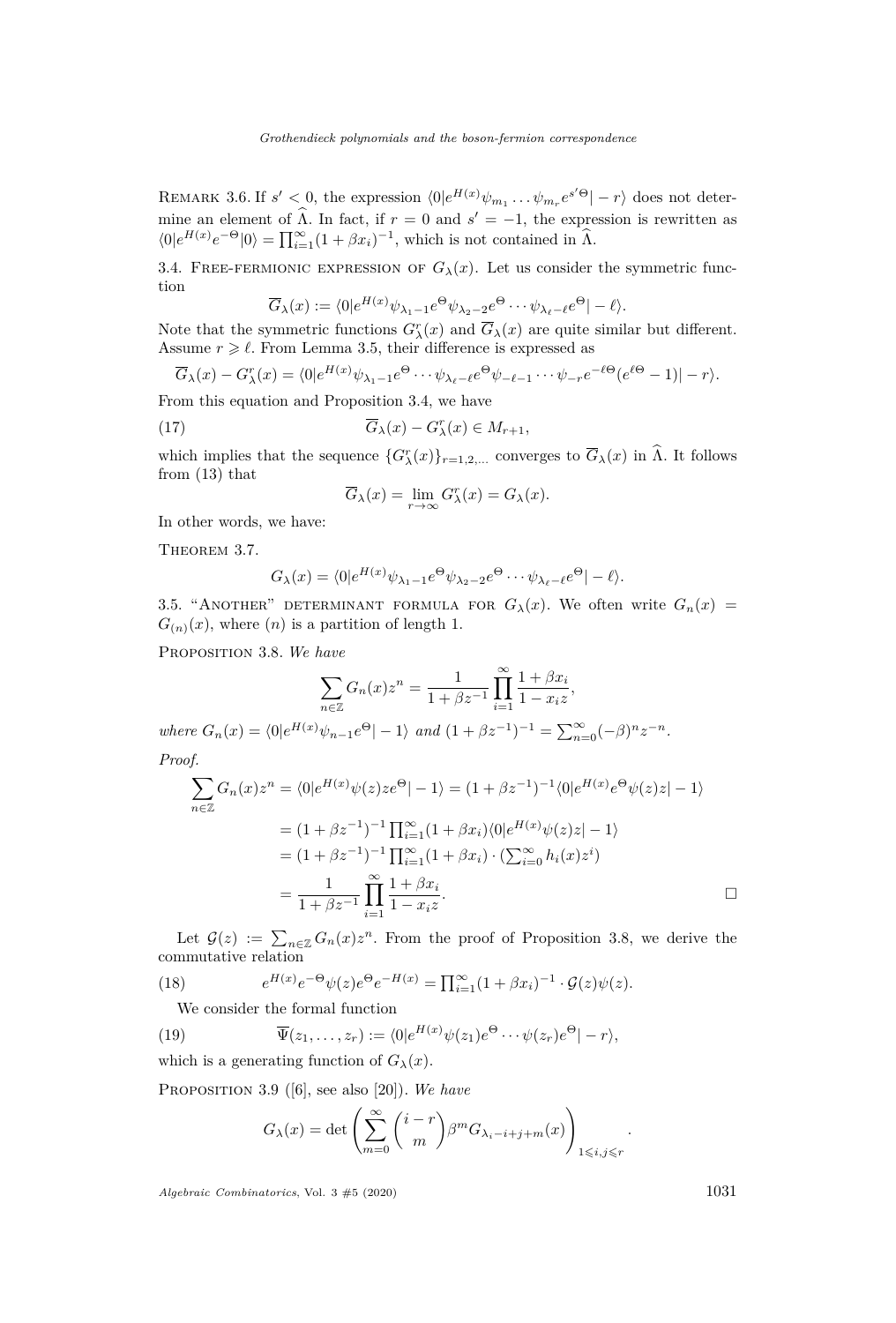REMARK 3.6. If  $s' < 0$ , the expression  $\langle 0 | e^{H(x)} \psi_{m_1} \dots \psi_{m_r} e^{s' \Theta} | -r \rangle$  does not determine an element of  $\widehat{\Lambda}$ . In fact, if  $r = 0$  and  $s' = -1$ , the expression is rewritten as  $\langle 0|e^{H(x)}e^{-\Theta}|0\rangle = \prod_{i=1}^{\infty} (1 + \beta x_i)^{-1}$ , which is not contained in  $\widehat{\Lambda}$ .

3.4. FREE-FERMIONIC EXPRESSION OF  $G_{\lambda}(x)$ . Let us consider the symmetric function

$$
\overline{G}_{\lambda}(x) := \langle 0 | e^{H(x)} \psi_{\lambda_1 - 1} e^{\Theta} \psi_{\lambda_2 - 2} e^{\Theta} \cdots \psi_{\lambda_\ell - \ell} e^{\Theta} | - \ell \rangle.
$$

Note that the symmetric functions  $G^r_\lambda(x)$  and  $\overline{G}_\lambda(x)$  are quite similar but different. Assume  $r \geq \ell$ . From Lemma [3.5,](#page-8-3) their difference is expressed as

$$
\overline{G}_{\lambda}(x) - G_{\lambda}^{r}(x) = \langle 0 | e^{H(x)} \psi_{\lambda_{1}-1} e^{\Theta} \cdots \psi_{\lambda_{\ell}-\ell} e^{\Theta} \psi_{-\ell-1} \cdots \psi_{-r} e^{-\ell \Theta} (e^{\ell \Theta} - 1) | - r \rangle.
$$

From this equation and Proposition [3.4,](#page-8-4) we have

(17) 
$$
\overline{G}_{\lambda}(x) - G_{\lambda}^{r}(x) \in M_{r+1},
$$

which implies that the sequence  $\{G^r_\lambda(x)\}_{r=1,2,\ldots}$  converges to  $\overline{G}_\lambda(x)$  in  $\hat{\Lambda}$ . It follows from [\(13\)](#page-7-4) that

$$
\overline{G}_{\lambda}(x) = \lim_{r \to \infty} G_{\lambda}^{r}(x) = G_{\lambda}(x).
$$

In other words, we have:

<span id="page-9-0"></span>THEOREM 3.7.

$$
G_{\lambda}(x) = \langle 0|e^{H(x)}\psi_{\lambda_1-1}e^{\Theta}\psi_{\lambda_2-2}e^{\Theta}\cdots\psi_{\lambda_\ell-\ell}e^{\Theta}|-\ell\rangle.
$$

<span id="page-9-2"></span>3.5. "ANOTHER" DETERMINANT FORMULA FOR  $G_{\lambda}(x)$ . We often write  $G_n(x)$  =  $G_{(n)}(x)$ , where  $(n)$  is a partition of length 1.

<span id="page-9-3"></span>Proposition 3.8. *We have*

$$
\sum_{n \in \mathbb{Z}} G_n(x) z^n = \frac{1}{1 + \beta z^{-1}} \prod_{i=1}^{\infty} \frac{1 + \beta x_i}{1 - x_i z},
$$
  

$$
G_n(x) = \langle 0 | e^{H(x)} \psi_{n-1} e^{\Theta} | -1 \rangle \text{ and } (1 + \beta z^{-1})^{-1} = \sum_{n=0}^{\infty} (-\beta)^n z^{-n}.
$$

 $where$ *Proof.*

$$
\sum_{n \in \mathbb{Z}} G_n(x) z^n = \langle 0 | e^{H(x)} \psi(z) z e^{\Theta} | -1 \rangle = (1 + \beta z^{-1})^{-1} \langle 0 | e^{H(x)} e^{\Theta} \psi(z) z | -1 \rangle
$$
  
=  $(1 + \beta z^{-1})^{-1} \prod_{i=1}^{\infty} (1 + \beta x_i) \langle 0 | e^{H(x)} \psi(z) z | -1 \rangle$   
=  $(1 + \beta z^{-1})^{-1} \prod_{i=1}^{\infty} (1 + \beta x_i) \cdot (\sum_{i=0}^{\infty} h_i(x) z^i)$   
=  $\frac{1}{1 + \beta z^{-1}} \prod_{i=1}^{\infty} \frac{1 + \beta x_i}{1 - x_i z}.$ 

Let  $\mathcal{G}(z) := \sum_{n \in \mathbb{Z}} G_n(x) z^n$ . From the proof of Proposition [3.8,](#page-9-3) we derive the commutative relation

(18) 
$$
e^{H(x)}e^{-\Theta}\psi(z)e^{\Theta}e^{-H(x)} = \prod_{i=1}^{\infty} (1+\beta x_i)^{-1} \cdot \mathcal{G}(z)\psi(z).
$$

<span id="page-9-5"></span>We consider the formal function

(19) 
$$
\overline{\Psi}(z_1,\ldots,z_r) := \langle 0 | e^{H(x)} \psi(z_1) e^{\Theta} \cdots \psi(z_r) e^{\Theta} | -r \rangle,
$$

which is a generating function of  $G_{\lambda}(x)$ .

<span id="page-9-1"></span>Proposition 3.9 ([\[6\]](#page-17-5), see also [\[20\]](#page-18-13)). *We have*

<span id="page-9-4"></span>
$$
G_{\lambda}(x) = \det \left( \sum_{m=0}^{\infty} {i-r \choose m} \beta^m G_{\lambda_i - i + j + m}(x) \right)_{1 \leqslant i, j \leqslant r}
$$

*Algebraic Combinatorics*, Vol. 3  $\#5$  (2020) 1031

*.*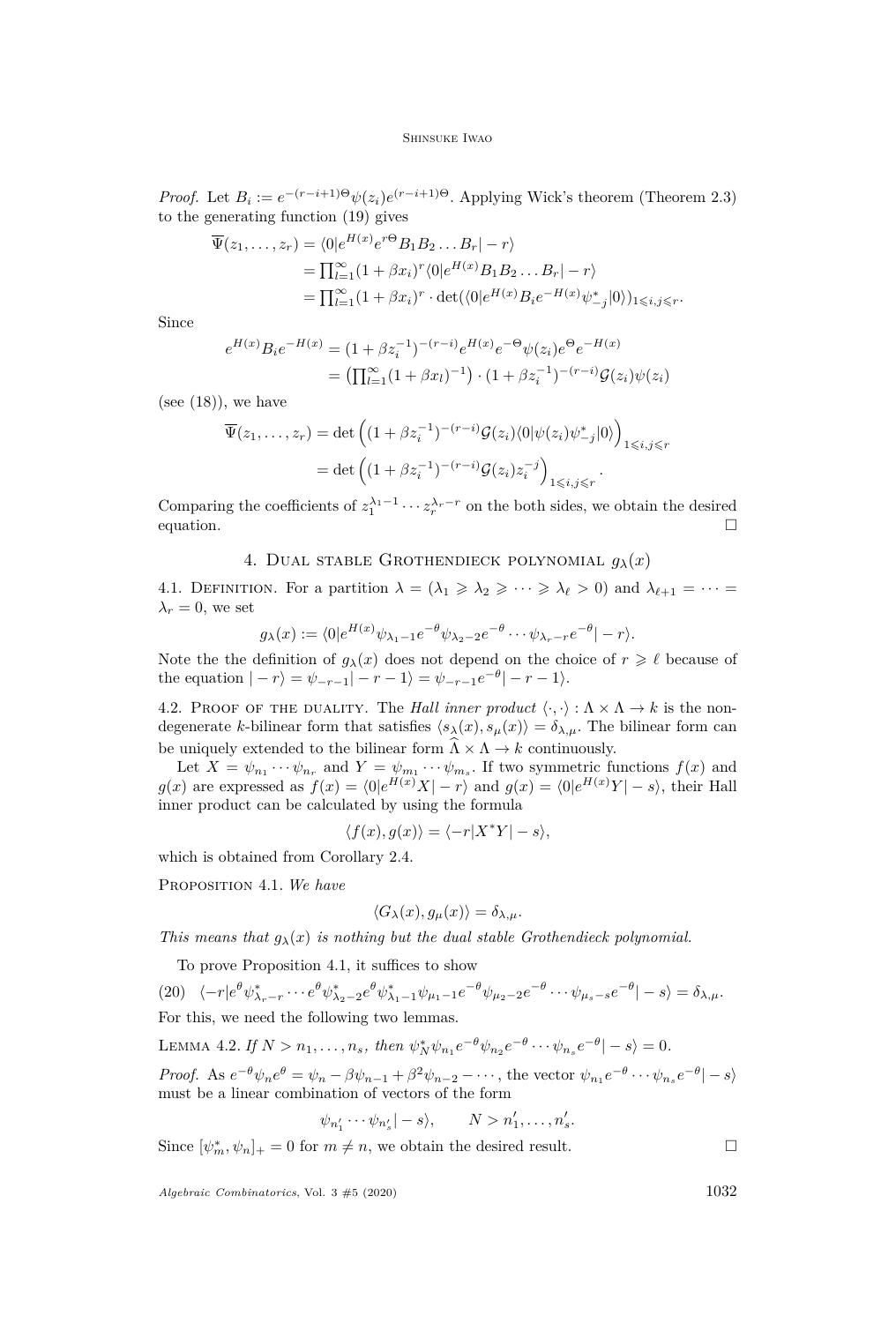*Proof.* Let  $B_i := e^{-(r-i+1)\Theta} \psi(z_i) e^{(r-i+1)\Theta}$ . Applying Wick's theorem (Theorem [2.3\)](#page-4-2) to the generating function [\(19\)](#page-9-4) gives

$$
\overline{\Psi}(z_1,\ldots,z_r) = \langle 0|e^{H(x)}e^{r\Theta}B_1B_2\ldots B_r| - r\rangle
$$
  
\n
$$
= \prod_{i=1}^{\infty} (1 + \beta x_i)^r \langle 0|e^{H(x)}B_1B_2\ldots B_r| - r\rangle
$$
  
\n
$$
= \prod_{i=1}^{\infty} (1 + \beta x_i)^r \cdot \det(\langle 0|e^{H(x)}B_i e^{-H(x)} \psi^*_{-j}|0\rangle)_{1\leq i,j\leq r}.
$$

Since

$$
e^{H(x)}B_i e^{-H(x)} = (1 + \beta z_i^{-1})^{-(r-i)} e^{H(x)} e^{-\Theta} \psi(z_i) e^{\Theta} e^{-H(x)}
$$
  
= 
$$
\left( \prod_{i=1}^{\infty} (1 + \beta x_i)^{-1} \right) \cdot (1 + \beta z_i^{-1})^{-(r-i)} \mathcal{G}(z_i) \psi(z_i)
$$

(see  $(18)$ ), we have

$$
\overline{\Psi}(z_1,\ldots,z_r) = \det\left((1+\beta z_i^{-1})^{-(r-i)}\mathcal{G}(z_i)\langle 0|\psi(z_i)\psi_{-j}^*|0\rangle\right)_{1\leqslant i,j\leqslant r}
$$
\n
$$
= \det\left((1+\beta z_i^{-1})^{-(r-i)}\mathcal{G}(z_i)z_i^{-j}\right)_{1\leqslant i,j\leqslant r}.
$$

Comparing the coefficients of  $z_1^{\lambda_1-1} \cdots z_r^{\lambda_r-r}$  on the both sides, we obtain the desired equation.  $\Box$ 

# 4. DUAL STABLE GROTHENDIECK POLYNOMIAL  $q_\lambda(x)$

<span id="page-10-0"></span>4.1. DEFINITION. For a partition  $\lambda = (\lambda_1 \geq \lambda_2 \geq \cdots \geq \lambda_\ell > 0)$  and  $\lambda_{\ell+1} = \cdots =$  $\lambda_r = 0$ , we set

$$
g_{\lambda}(x) := \langle 0|e^{H(x)}\psi_{\lambda_1-1}e^{-\theta}\psi_{\lambda_2-2}e^{-\theta}\cdots\psi_{\lambda_r-r}e^{-\theta}|-r\rangle.
$$

Note the the definition of  $g_{\lambda}(x)$  does not depend on the choice of  $r \geq \ell$  because of the equation  $|-r\rangle = \psi_{-r-1}|-r-1\rangle = \psi_{-r-1}e^{-\theta}|-r-1\rangle.$ 

4.2. PROOF OF THE DUALITY. The *Hall inner product*  $\langle \cdot, \cdot \rangle : \Lambda \times \Lambda \to k$  is the nondegenerate *k*-bilinear form that satisfies  $\langle s_{\lambda}(x), s_{\mu}(x) \rangle = \delta_{\lambda,\mu}$ . The bilinear form can be uniquely extended to the bilinear form  $\widehat{\Lambda} \times \Lambda \to k$  continuously.

Let  $X = \psi_{n_1} \cdots \psi_{n_r}$  and  $Y = \psi_{m_1} \cdots \psi_{m_s}$ . If two symmetric functions  $f(x)$  and *g*(*x*) are expressed as  $f(x) = \langle 0 | e^{H(x)} X | - r \rangle$  and  $g(x) = \langle 0 | e^{H(x)} Y | - s \rangle$ , their Hall inner product can be calculated by using the formula

$$
\langle f(x), g(x) \rangle = \langle -r | X^* Y | -s \rangle,
$$

which is obtained from Corollary [2.4.](#page-4-3)

<span id="page-10-1"></span>Proposition 4.1. *We have*

$$
\langle G_{\lambda}(x), g_{\mu}(x) \rangle = \delta_{\lambda,\mu}.
$$

*This means that*  $g_{\lambda}(x)$  *is nothing but the dual stable Grothendieck polynomial.* 

To prove Proposition [4.1,](#page-10-1) it suffices to show

(20)  $\langle -r|e^{\theta}\psi^{*}_{\lambda_{r}-r}\cdots e^{\theta}\psi^{*}_{\lambda_{2}-2}e^{\theta}\psi^{*}_{\lambda_{1}-1}\psi_{\mu_{1}-1}e^{-\theta}\psi_{\mu_{2}-2}e^{-\theta}\cdots\psi_{\mu_{s}-s}e^{-\theta}|-s\rangle = \delta_{\lambda,\mu}.$ For this, we need the following two lemmas.

<span id="page-10-2"></span>LEMMA 4.2. If  $N > n_1, ..., n_s$ , then  $\psi_N^* \psi_{n_1} e^{-\theta} \psi_{n_2} e^{-\theta} \cdots \psi_{n_s} e^{-\theta} |-s\rangle = 0$ .

*Proof.* As  $e^{-\theta}\psi_n e^{\theta} = \psi_n - \beta \psi_{n-1} + \beta^2 \psi_{n-2} - \cdots$ , the vector  $\psi_{n_1} e^{-\theta} \cdots \psi_{n_s} e^{-\theta} |-s\rangle$ must be a linear combination of vectors of the form

$$
\psi_{n'_1} \cdots \psi_{n'_s} |-s\rangle
$$
,  $N > n'_1, \ldots, n'_s$ .

Since  $[\psi_m^*, \psi_n]_+ = 0$  for  $m \neq n$ , we obtain the desired result.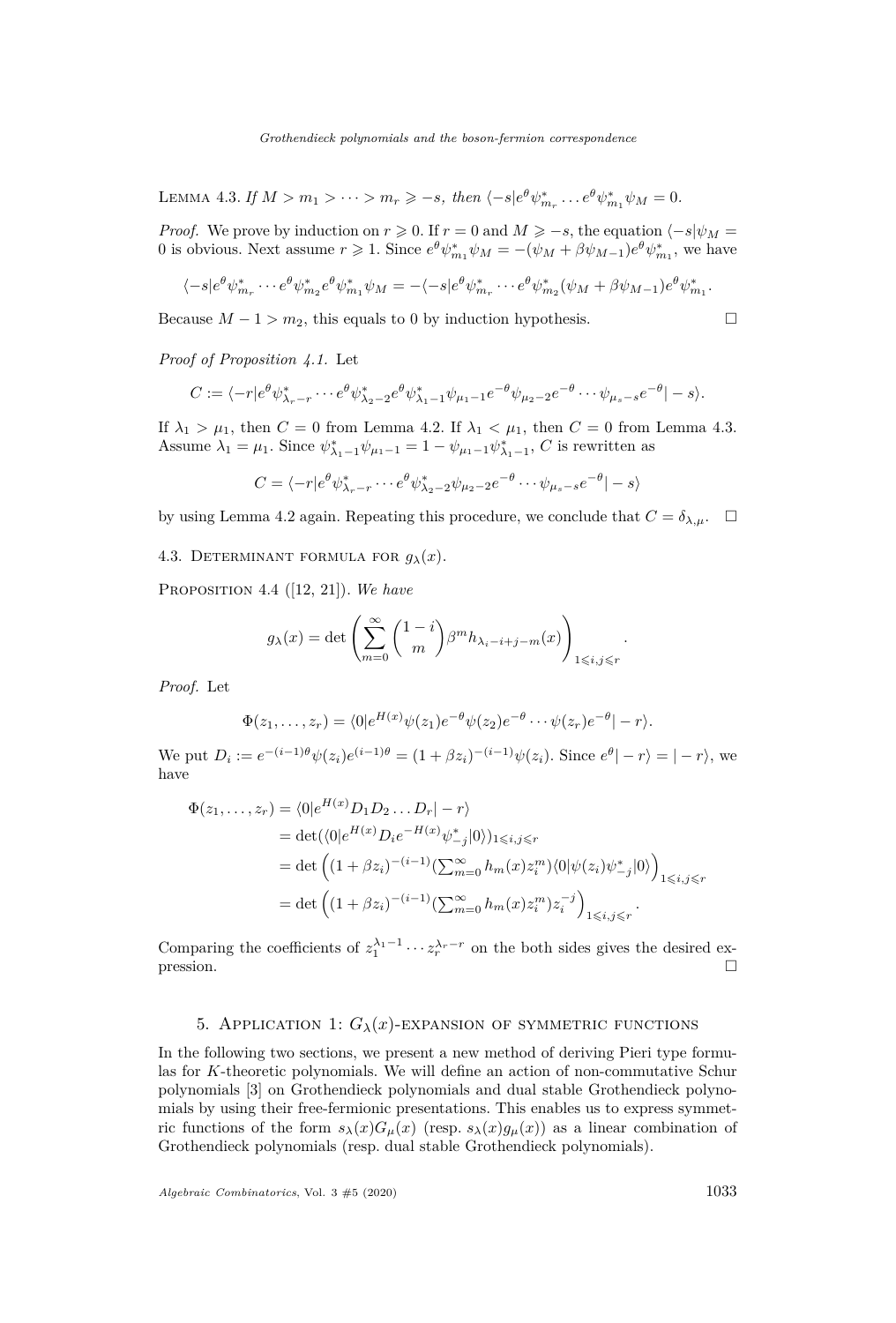<span id="page-11-3"></span>LEMMA 4.3. *If*  $M > m_1 > \cdots > m_r \geq -s$ , then  $\langle -s|e^{\theta} \psi^*_{m_r} \dots e^{\theta} \psi^*_{m_1} \psi_M = 0$ .

*Proof.* We prove by induction on  $r \ge 0$ . If  $r = 0$  and  $M \ge -s$ , the equation  $\langle -s | \psi_M =$ 0 is obvious. Next assume  $r \ge 1$ . Since  $e^{\theta} \psi_{m_1}^* \psi_M = -(\psi_M + \beta \psi_{M-1}) e^{\theta} \psi_{m_1}^*$ , we have

$$
\langle -s|e^{\theta}\psi_{m_r}^*\cdots e^{\theta}\psi_{m_2}^*e^{\theta}\psi_{m_1}^*\psi_M = -\langle -s|e^{\theta}\psi_{m_r}^*\cdots e^{\theta}\psi_{m_2}^*(\psi_M+\beta\psi_{M-1})e^{\theta}\psi_{m_1}^*.
$$

Because  $M - 1 > m_2$ , this equals to 0 by induction hypothesis.

*Proof of Proposition [4.1.](#page-10-1)* Let

$$
C:=\langle -r|e^{\theta}\psi^*_{\lambda_r-r}\cdots e^{\theta}\psi^*_{\lambda_2-2}e^{\theta}\psi^*_{\lambda_1-1}\psi_{\mu_1-1}e^{-\theta}\psi_{\mu_2-2}e^{-\theta}\cdots\psi_{\mu_s-s}e^{-\theta}|-s\rangle.
$$

If  $\lambda_1 > \mu_1$ , then  $C = 0$  from Lemma [4.2.](#page-10-2) If  $\lambda_1 < \mu_1$ , then  $C = 0$  from Lemma [4.3.](#page-11-3) Assume  $\lambda_1 = \mu_1$ . Since  $\psi_{\lambda_1-1}^* \psi_{\mu_1-1} = 1 - \psi_{\mu_1-1} \psi_{\lambda_1-1}^*$ , *C* is rewritten as

$$
C = \langle -r|e^{\theta} \psi_{\lambda_r-r}^* \cdots e^{\theta} \psi_{\lambda_2-2}^* \psi_{\mu_2-2} e^{-\theta} \cdots \psi_{\mu_s-s} e^{-\theta} |-s \rangle
$$

by using Lemma [4.2](#page-10-2) again. Repeating this procedure, we conclude that  $C = \delta_{\lambda,\mu}$ .  $\square$ 

<span id="page-11-1"></span>4.3. DETERMINANT FORMULA FOR  $g_{\lambda}(x)$ .

<span id="page-11-0"></span>Proposition 4.4 ([\[12,](#page-18-10) [21\]](#page-18-11)). *We have*

$$
g_{\lambda}(x) = \det \left( \sum_{m=0}^{\infty} {1-i \choose m} \beta^m h_{\lambda_i - i + j - m}(x) \right)_{1 \leq i, j \leq r}.
$$

*Proof.* Let

$$
\Phi(z_1,\ldots,z_r)=\langle 0|e^{H(x)}\psi(z_1)e^{-\theta}\psi(z_2)e^{-\theta}\cdots\psi(z_r)e^{-\theta}|-r\rangle.
$$

We put  $D_i := e^{-(i-1)\theta} \psi(z_i) e^{(i-1)\theta} = (1 + \beta z_i)^{-(i-1)} \psi(z_i)$ . Since  $e^{\theta} |-r\rangle = |-r\rangle$ , we have

$$
\Phi(z_1, ..., z_r) = \langle 0 | e^{H(x)} D_1 D_2 ... D_r | - r \rangle
$$
  
\n
$$
= \det(\langle 0 | e^{H(x)} D_i e^{-H(x)} \psi^*_{-j} | 0 \rangle)_{1 \le i, j \le r}
$$
  
\n
$$
= \det \left( (1 + \beta z_i)^{-(i-1)} \left( \sum_{m=0}^{\infty} h_m(x) z_i^m \right) \langle 0 | \psi(z_i) \psi^*_{-j} | 0 \rangle \right)_{1 \le i, j \le r}
$$
  
\n
$$
= \det \left( (1 + \beta z_i)^{-(i-1)} \left( \sum_{m=0}^{\infty} h_m(x) z_i^m \right) z_i^{-j} \right)_{1 \le i, j \le r}.
$$

Comparing the coefficients of  $z_1^{\lambda_1-1} \cdots z_r^{\lambda_r-r}$  on the both sides gives the desired expression.

# 5. APPLICATION 1:  $G_{\lambda}(x)$ -EXPANSION OF SYMMETRIC FUNCTIONS

<span id="page-11-2"></span>In the following two sections, we present a new method of deriving Pieri type formulas for *K*-theoretic polynomials. We will define an action of non-commutative Schur polynomials [\[3\]](#page-17-6) on Grothendieck polynomials and dual stable Grothendieck polynomials by using their free-fermionic presentations. This enables us to express symmetric functions of the form  $s_{\lambda}(x)G_{\mu}(x)$  (resp.  $s_{\lambda}(x)q_{\mu}(x)$ ) as a linear combination of Grothendieck polynomials (resp. dual stable Grothendieck polynomials).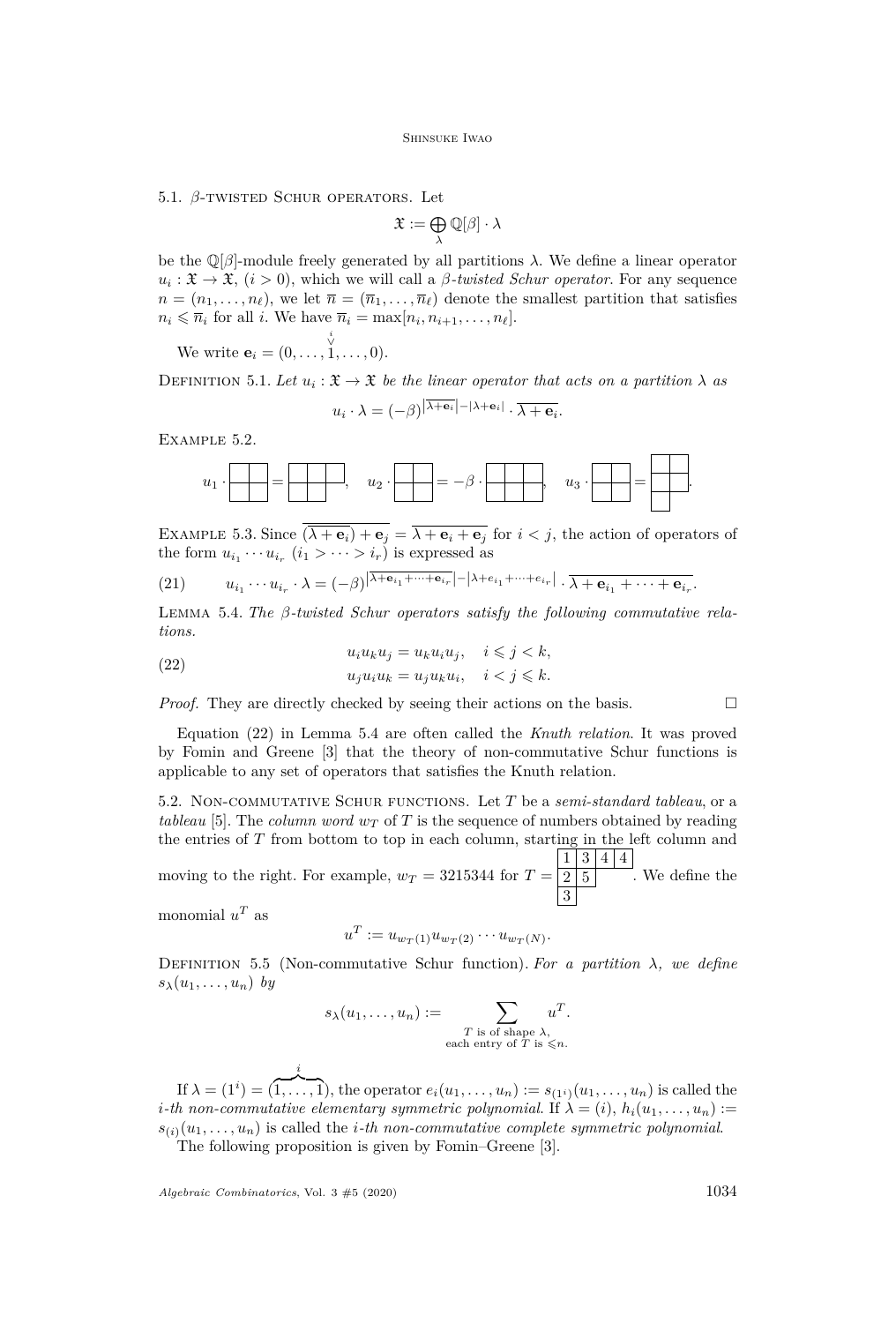#### 5.1. *β*-twisted Schur operators. Let

$$
\mathfrak{X}:=\bigoplus_{\lambda}\mathbb{Q}[\beta]\cdot\lambda
$$

be the Q[*β*]-module freely generated by all partitions *λ*. We define a linear operator  $u_i: \mathfrak{X} \to \mathfrak{X}$ ,  $(i > 0)$ , which we will call a *β-twisted Schur operator*. For any sequence  $n = (n_1, \ldots, n_\ell)$ , we let  $\overline{n} = (\overline{n}_1, \ldots, \overline{n}_\ell)$  denote the smallest partition that satisfies  $n_i \leqslant \overline{n}_i$  for all *i*. We have  $\overline{n}_i = \max[n_i, n_{i+1}, \ldots, n_\ell].$ 

We write  $\mathbf{e}_i = (0, \dots,$ *i* ∨ 1*, . . . ,* 0).

DEFINITION 5.1. Let  $u_i : \mathfrak{X} \to \mathfrak{X}$  be the linear operator that acts on a partition  $\lambda$  as

$$
u_i \cdot \lambda = (-\beta)^{|\lambda + \mathbf{e}_i| - |\lambda + \mathbf{e}_i|} \cdot \overline{\lambda + \mathbf{e}_i}.
$$

Example 5.2.



EXAMPLE 5.3. Since  $\overline{(\lambda + e_i) + e_j} = \overline{\lambda + e_i + e_j}$  for  $i < j$ , the action of operators of the form  $u_{i_1} \cdots u_{i_r}$   $(i_1 > \cdots > i_r)$  is expressed as

<span id="page-12-2"></span>(21) 
$$
u_{i_1}\cdots u_{i_r}\cdot \lambda = (-\beta)^{|\lambda+e_{i_1}+\cdots+e_{i_r}|-|\lambda+e_{i_1}+\cdots+e_{i_r}|}\cdot \overline{\lambda+e_{i_1}+\cdots+e_{i_r}}.
$$

<span id="page-12-1"></span>Lemma 5.4. *The β-twisted Schur operators satisfy the following commutative relations.*

<span id="page-12-0"></span>(22) 
$$
u_i u_k u_j = u_k u_i u_j, \quad i \leq j < k,
$$

$$
u_j u_i u_k = u_j u_k u_i, \quad i < j \leq k.
$$

*Proof.* They are directly checked by seeing their actions on the basis.

Equation [\(22\)](#page-12-0) in Lemma [5.4](#page-12-1) are often called the *Knuth relation*. It was proved by Fomin and Greene [\[3\]](#page-17-6) that the theory of non-commutative Schur functions is applicable to any set of operators that satisfies the Knuth relation.

5.2. Non-commutative Schur functions. Let *T* be a *semi-standard tableau*, or a *tableau* [\[5\]](#page-17-1). The *column word*  $w<sub>T</sub>$  of T is the sequence of numbers obtained by reading the entries of *T* from bottom to top in each column, starting in the left column and

moving to the right. For example,  $w_T = 3215344$  for  $T =$  $1 \mid 3 \mid 4 \mid 4$  $2\,|\,5$ 3 . We define the

monomial  $u^T$  as

$$
u^T := u_{w_T(1)} u_{w_T(2)} \cdots u_{w_T(N)}.
$$

<span id="page-12-3"></span>DEFINITION 5.5 (Non-commutative Schur function). For a partition  $\lambda$ *, we define*  $s_{\lambda}(u_1, \ldots, u_n)$  *by* 

$$
s_{\lambda}(u_1,\ldots,u_n) := \sum_{\substack{T \text{ is of shape } \lambda, \\ \text{each entry of } T \text{ is } \leq n.}} u^T.
$$

If  $\lambda = (1^i) = (1, \ldots, 1)$ , the operator  $e_i(u_1, \ldots, u_n) := s_{(1^i)}(u_1, \ldots, u_n)$  is called the *i*<sup>*-th*</sup> non-commutative elementary symmetric polynomial. If  $\lambda = (i)$ ,  $h_i(u_1, \ldots, u_n)$  :=  $s_{(i)}(u_1, \ldots, u_n)$  is called the *i*-th non-commutative complete symmetric polynomial.

The following proposition is given by Fomin–Greene [\[3\]](#page-17-6).

 $A$ lgebraic Combinatorics, Vol. 3  $#5$  (2020) 1034

*i*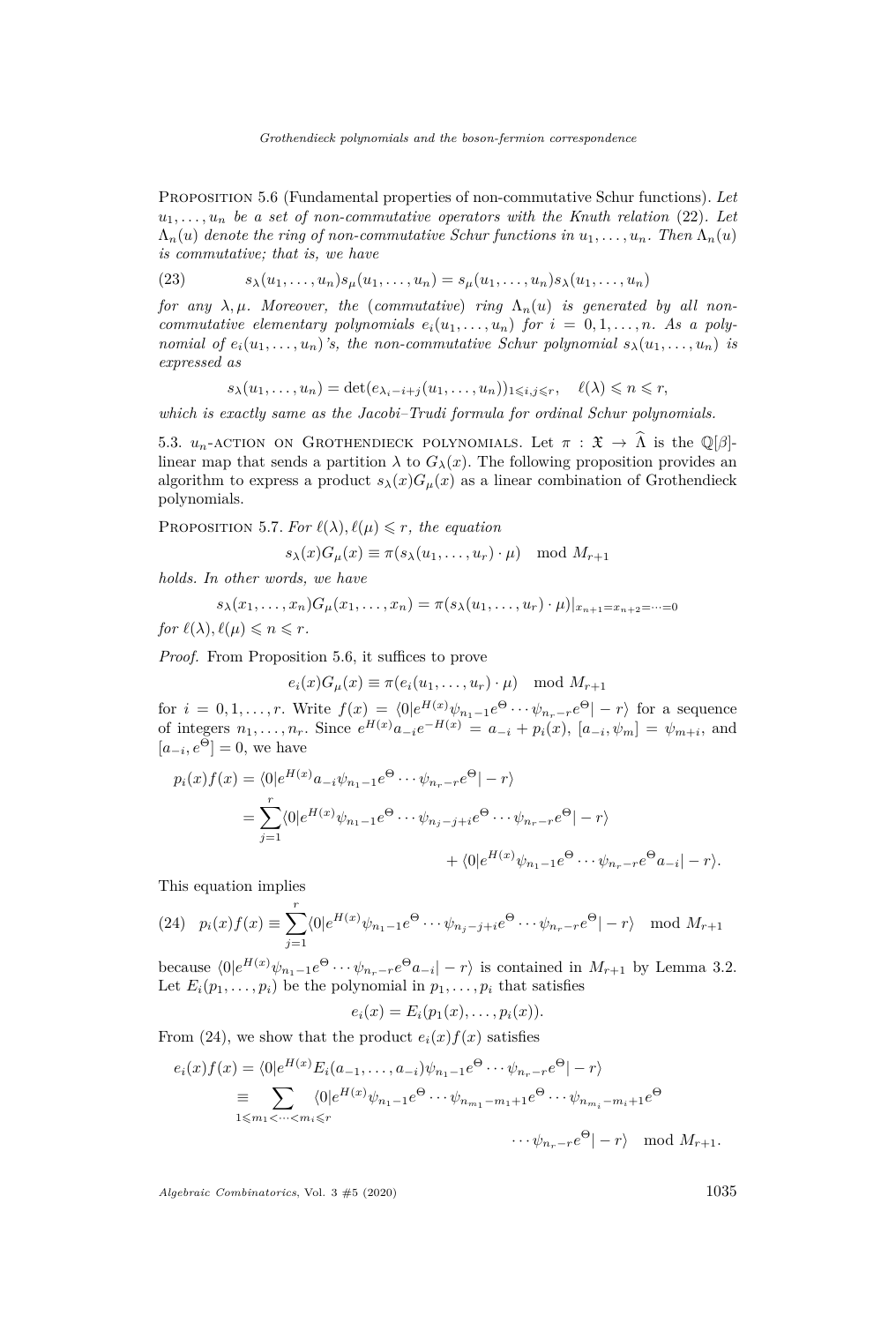<span id="page-13-1"></span>Proposition 5.6 (Fundamental properties of non-commutative Schur functions). *Let*  $u_1, \ldots, u_n$  *be a set of non-commutative operators with the Knuth relation* [\(22\)](#page-12-0)*.* Let  $\Lambda_n(u)$  *denote the ring of non-commutative Schur functions in*  $u_1, \ldots, u_n$ . Then  $\Lambda_n(u)$ *is commutative; that is, we have*

(23) 
$$
s_{\lambda}(u_1,\ldots,u_n)s_{\mu}(u_1,\ldots,u_n)=s_{\mu}(u_1,\ldots,u_n)s_{\lambda}(u_1,\ldots,u_n)
$$

*for any*  $\lambda, \mu$ *. Moreover, the (commutative) ring*  $\Lambda_n(u)$  *is generated by all noncommutative elementary polynomials*  $e_i(u_1, \ldots, u_n)$  *for*  $i = 0, 1, \ldots, n$ *. As a polynomial of*  $e_i(u_1, \ldots, u_n)$ 's, the non-commutative Schur polynomial  $s_\lambda(u_1, \ldots, u_n)$  is *expressed as*

$$
s_{\lambda}(u_1,\ldots,u_n)=\det(e_{\lambda_i-i+j}(u_1,\ldots,u_n))_{1\leqslant i,j\leqslant r},\quad \ell(\lambda)\leqslant n\leqslant r,
$$

*which is exactly same as the Jacobi–Trudi formula for ordinal Schur polynomials.*

5.3.  $u_n$ -action on Grothendieck polynomials. Let  $\pi : \mathfrak{X} \to \hat{\Lambda}$  is the Q[ $\beta$ ]linear map that sends a partition  $\lambda$  to  $G_{\lambda}(x)$ . The following proposition provides an algorithm to express a product  $s_{\lambda}(x)G_{\mu}(x)$  as a linear combination of Grothendieck polynomials.

<span id="page-13-0"></span>PROPOSITION 5.7. For  $\ell(\lambda)$ ,  $\ell(\mu) \leq r$ , the equation

$$
s_{\lambda}(x)G_{\mu}(x) \equiv \pi(s_{\lambda}(u_1,\ldots,u_r)\cdot \mu) \mod M_{r+1}
$$

*holds. In other words, we have*

$$
s_{\lambda}(x_1,\ldots,x_n)G_{\mu}(x_1,\ldots,x_n)=\pi(s_{\lambda}(u_1,\ldots,u_r)\cdot\mu)|_{x_{n+1}=x_{n+2}=\cdots=0}
$$

*for*  $\ell(\lambda), \ell(\mu) \leq n \leq r$ .

*Proof.* From Proposition [5.6,](#page-13-1) it suffices to prove

$$
e_i(x)G_\mu(x) \equiv \pi(e_i(u_1,\ldots,u_r)\cdot \mu) \mod M_{r+1}
$$

for  $i = 0, 1, \ldots, r$ . Write  $f(x) = \langle 0 | e^{H(x)} \psi_{n_1-1} e^{\Theta} \cdots \psi_{n_r-r} e^{\Theta} | -r \rangle$  for a sequence of integers  $n_1, ..., n_r$ . Since  $e^{H(x)} a_{-i} e^{-H(x)} = a_{-i} + p_i(x)$ ,  $[a_{-i}, \psi_m] = \psi_{m+i}$ , and  $[a_{-i}, e^{\Theta}] = 0$ , we have

$$
p_i(x)f(x) = \langle 0|e^{H(x)}a_{-i}\psi_{n_1-1}e^{\Theta} \cdots \psi_{n_r-r}e^{\Theta}| - r \rangle
$$
  
= 
$$
\sum_{j=1}^r \langle 0|e^{H(x)}\psi_{n_1-1}e^{\Theta} \cdots \psi_{n_j-j+i}e^{\Theta} \cdots \psi_{n_r-r}e^{\Theta}| - r \rangle
$$
  
+ 
$$
\langle 0|e^{H(x)}\psi_{n_1-1}e^{\Theta} \cdots \psi_{n_r-r}e^{\Theta}a_{-i}| - r \rangle.
$$

This equation implies

<span id="page-13-2"></span>(24) 
$$
p_i(x)f(x) \equiv \sum_{j=1}^r \langle 0 | e^{H(x)} \psi_{n_1-1} e^{\Theta} \cdots \psi_{n_j-j+i} e^{\Theta} \cdots \psi_{n_r-r} e^{\Theta} | -r \rangle \mod M_{r+1}
$$

because  $\langle 0 | e^{H(x)} \psi_{n_1-1} e^{\Theta} \cdots \psi_{n_r-r} e^{\Theta} a_{-i} | -r \rangle$  is contained in  $M_{r+1}$  by Lemma [3.2.](#page-7-3) Let  $E_i(p_1, \ldots, p_i)$  be the polynomial in  $p_1, \ldots, p_i$  that satisfies

$$
e_i(x) = E_i(p_1(x), \ldots, p_i(x)).
$$

From [\(24\)](#page-13-2), we show that the product  $e_i(x) f(x)$  satisfies

$$
e_i(x)f(x) = \langle 0|e^{H(x)}E_i(a_{-1},\dots,a_{-i})\psi_{n_1-1}e^{\Theta}\cdots\psi_{n_r-r}e^{\Theta}|-r\rangle
$$
  
\n
$$
\equiv \sum_{1\leq m_1<\dots  
\n
$$
\cdots\psi_{n_r-r}e^{\Theta}|-r\rangle \mod M_{r+1}.
$$
$$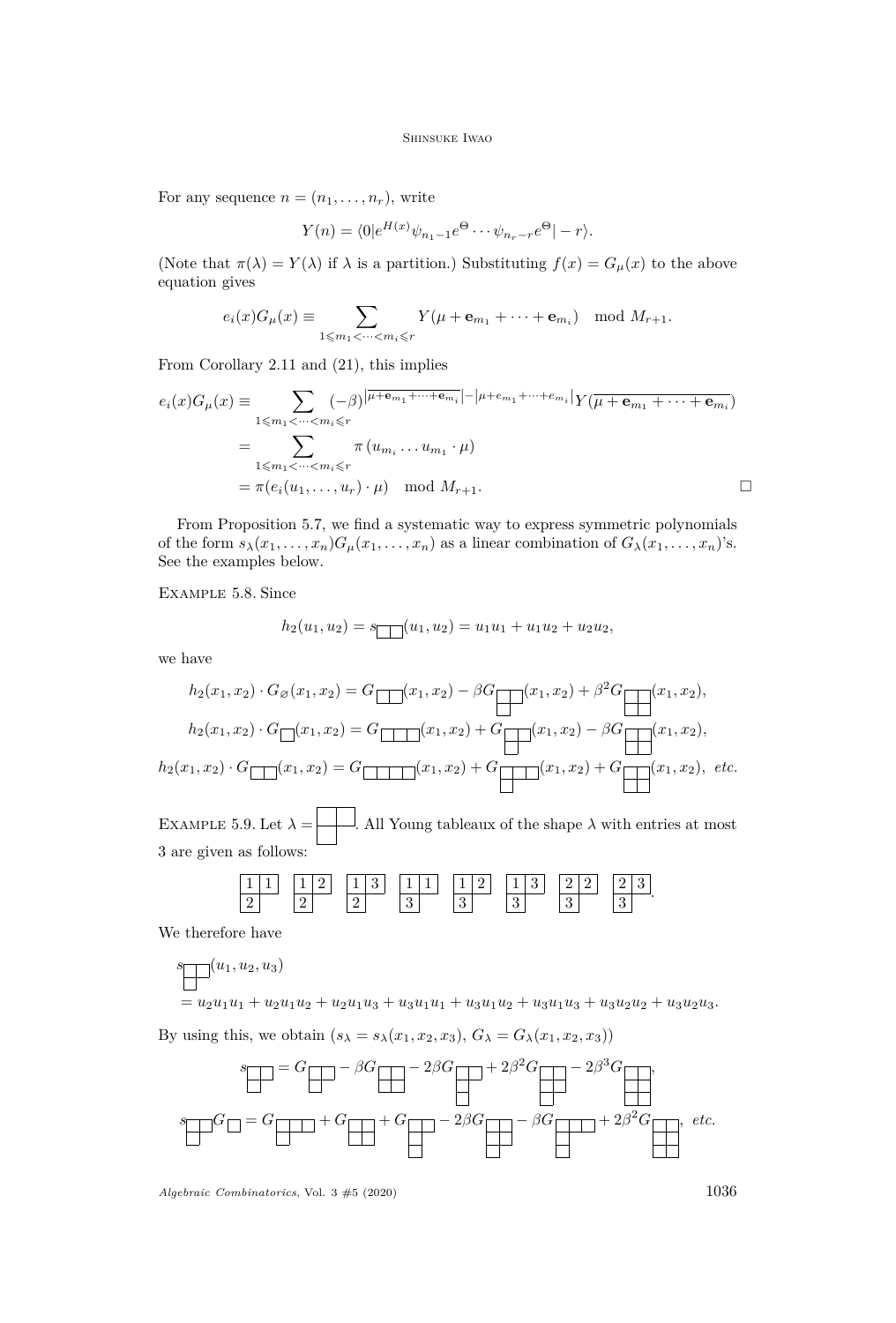For any sequence  $n = (n_1, \ldots, n_r)$ , write

$$
Y(n) = \langle 0 | e^{H(x)} \psi_{n_1 - 1} e^{\Theta} \cdots \psi_{n_r - r} e^{\Theta} | - r \rangle.
$$

(Note that  $\pi(\lambda) = Y(\lambda)$  if  $\lambda$  is a partition.) Substituting  $f(x) = G_{\mu}(x)$  to the above equation gives

$$
e_i(x)G_\mu(x) \equiv \sum_{1 \leqslant m_1 < \cdots < m_i \leqslant r} Y(\mu + \mathbf{e}_{m_1} + \cdots + \mathbf{e}_{m_i}) \mod M_{r+1}.
$$

From Corollary [2.11](#page-6-3) and [\(21\)](#page-12-2), this implies

$$
e_i(x)G_\mu(x) \equiv \sum_{1 \leq m_1 < \dots < m_i \leq r} (-\beta)^{\left|\overline{\mu + \mathbf{e}_{m_1} + \dots + \mathbf{e}_{m_i}}\right| - \left|\mu + e_{m_1} + \dots + e_{m_i}\right|} Y(\overline{\mu + \mathbf{e}_{m_1} + \dots + \mathbf{e}_{m_i}})
$$

$$
= \sum_{1 \leq m_1 < \dots < m_i \leq r} \pi(u_{m_i} \dots u_{m_1} \cdot \mu)
$$

$$
= \pi(e_i(u_1, \dots, u_r) \cdot \mu) \mod M_{r+1}.
$$

From Proposition [5.7,](#page-13-0) we find a systematic way to express symmetric polynomials of the form  $s_{\lambda}(x_1, \ldots, x_n)G_{\mu}(x_1, \ldots, x_n)$  as a linear combination of  $G_{\lambda}(x_1, \ldots, x_n)$ 's. See the examples below.

Example 5.8. Since

$$
h_2(u_1, u_2) = s_1(u_1, u_2) = u_1u_1 + u_1u_2 + u_2u_2,
$$

we have

$$
h_2(x_1, x_2) \cdot G_{\varnothing}(x_1, x_2) = G \boxed{(x_1, x_2) - \beta G \boxed{(x_1, x_2) + \beta^2 G \boxed{(x_1, x_2)}}},
$$
  
\n
$$
h_2(x_1, x_2) \cdot G \boxed{(x_1, x_2) = G \boxed{(x_1, x_2) + G \boxed{(x_1, x_2) - \beta G \boxed{(x_1, x_2)}}},
$$
  
\n
$$
h_2(x_1, x_2) \cdot G \boxed{(x_1, x_2) = G \boxed{(x_1, x_2) + G \boxed{(x_1, x_2) + G \boxed{(x_1, x_2)}}, \text{ etc.}}
$$

EXAMPLE 5.9. Let  $\lambda =$  . All Young tableaux of the shape  $\lambda$  with entries at most 3 are given as follows:

| $\vert$ 1<br><b>A</b><br><b>-</b> | $\vert 1 \vert 2$ .<br>▵<br>- | $\vert 1 \vert 3 \vert$ | 111 | $\vert 1 \vert 2$ | ÷ | - |    |
|-----------------------------------|-------------------------------|-------------------------|-----|-------------------|---|---|----|
|                                   |                               | ⊷                       | ບ   | $\Omega$<br>◡     | ಀ | ບ | J, |

We therefore have

$$
\mathcal{S} \boxed{(u_1, u_2, u_3)}
$$

 $=u_2u_1u_1+u_2u_1u_2+u_2u_1u_3+u_3u_1u_1+u_3u_1u_2+u_3u_1u_3+u_3u_2u_2+u_3u_2u_3.$ 

By using this, we obtain  $(s_{\lambda} = s_{\lambda}(x_1, x_2, x_3), G_{\lambda} = G_{\lambda}(x_1, x_2, x_3))$ 

$$
s_{\text{max}} = G_{\text{max}} - \beta G_{\text{max}} - 2\beta G_{\text{max}} + 2\beta^2 G_{\text{max}} - 2\beta^3 G_{\text{max}}.
$$

$$
s_{\text{max}} = G_{\text{max}} + G_{\text{max}} + G_{\text{max}} - 2\beta G_{\text{max}} - \beta G_{\text{max}} + 2\beta^2 G_{\text{max}} + etc.
$$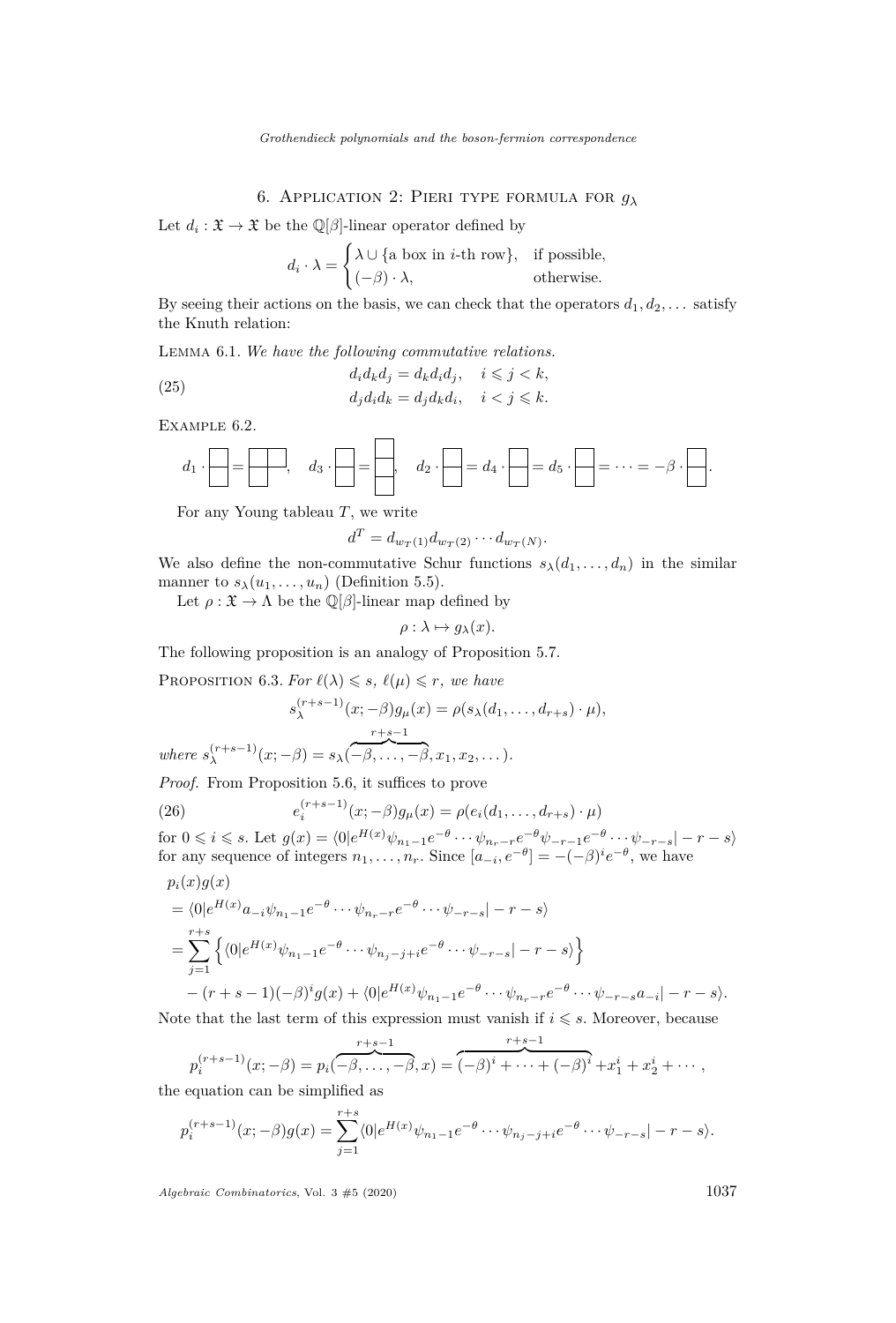# 6. Application 2: Pieri type formula for *g<sup>λ</sup>*

<span id="page-15-0"></span>Let  $d_i: \mathfrak{X} \to \mathfrak{X}$  be the  $\mathbb{Q}[\beta]$ -linear operator defined by

$$
d_i \cdot \lambda = \begin{cases} \lambda \cup \{\text{a box in } i\text{-th row}\}, & \text{if possible,} \\ (-\beta) \cdot \lambda, & \text{otherwise.} \end{cases}
$$

By seeing their actions on the basis, we can check that the operators  $d_1, d_2, \ldots$  satisfy the Knuth relation:

Lemma 6.1. *We have the following commutative relations.*

(25) 
$$
d_i d_k d_j = d_k d_i d_j, \quad i \leq j < k,
$$

$$
d_j d_i d_k = d_j d_k d_i, \quad i < j \leq k.
$$

Example 6.2.

$$
d_1 \cdot \boxed{\phantom{a}} = \boxed{\phantom{a}} \cdot \boxed{\phantom{a}} = \boxed{\phantom{a}} \cdot \boxed{\phantom{a}} = \boxed{\phantom{a}} \cdot \boxed{\phantom{a}} = d_4 \cdot \boxed{\phantom{a}} = d_5 \cdot \boxed{\phantom{a}} = \cdots = -\beta \cdot \boxed{\phantom{a}}.
$$

For any Young tableau *T*, we write

$$
d^T = d_{w_T(1)} d_{w_T(2)} \cdots d_{w_T(N)}.
$$

We also define the non-commutative Schur functions  $s_{\lambda}(d_1, \ldots, d_n)$  in the similar manner to  $s_{\lambda}(u_1, \ldots, u_n)$  (Definition [5.5\)](#page-12-3).

Let  $\rho : \mathfrak{X} \to \Lambda$  be the  $\mathbb{Q}[\beta]$ -linear map defined by

$$
\rho: \lambda \mapsto g_{\lambda}(x).
$$

The following proposition is an analogy of Proposition [5.7.](#page-13-0)

<span id="page-15-2"></span>**PROPOSITION** 6.3. For  $\ell(\lambda) \leq s$ ,  $\ell(\mu) \leq r$ , we have

$$
s_{\lambda}^{(r+s-1)}(x; -\beta)g_{\mu}(x) = \rho(s_{\lambda}(d_1, \dots, d_{r+s}) \cdot \mu),
$$
  
where  $s_{\lambda}^{(r+s-1)}(x; -\beta) = s_{\lambda}(-\beta, \dots, -\beta, x_1, x_2, \dots).$ 

*Proof.* From Proposition [5.6,](#page-13-1) it suffices to prove

<span id="page-15-1"></span>(26) 
$$
e_i^{(r+s-1)}(x; -\beta)g_{\mu}(x) = \rho(e_i(d_1, ..., d_{r+s}) \cdot \mu)
$$

for  $0 \leq i \leq s$ . Let  $g(x) = \langle 0 | e^{H(x)} \psi_{n_1 - 1} e^{-\theta} \cdots \psi_{n_r - r} e^{-\theta} \psi_{-r-1} e^{-\theta} \cdots \psi_{-r-s} | -r - s \rangle$ for any sequence of integers  $n_1, \ldots, n_r$ . Since  $[a_{-i}, e^{-\theta}] = -(-\beta)^i e^{-\theta}$ , we have

$$
p_i(x)g(x)
$$
  
=  $\langle 0|e^{H(x)}a_{-i}\psi_{n_1-1}e^{-\theta}\cdots\psi_{n_r-r}e^{-\theta}\cdots\psi_{-r-s}|-r-s\rangle$   
=  $\sum_{j=1}^{r+s} \left\{ \langle 0|e^{H(x)}\psi_{n_1-1}e^{-\theta}\cdots\psi_{n_j-j+i}e^{-\theta}\cdots\psi_{-r-s}|-r-s\rangle \right\}$   
-  $(r+s-1)(-\beta)^{i}g(x) + \langle 0|e^{H(x)}\psi_{n_1-1}e^{-\theta}\cdots\psi_{n_r-r}e^{-\theta}\cdots\psi_{-r-s}a_{-i}|-r-s\rangle.$ 

Note that the last term of this expression must vanish if  $i \leq s$ . Moreover, because

$$
p_i^{(r+s-1)}(x; -\beta) = p_i(-\beta, \dots, -\beta, x) = \overbrace{(-\beta)^i + \dots + (-\beta)^i}^{r+s-1} + x_1^i + x_2^i + \dots
$$
\n
$$
equation can be simplified as
$$

the equation can be simplified as

$$
p_i^{(r+s-1)}(x; -\beta)g(x) = \sum_{j=1}^{r+s} \langle 0 | e^{H(x)} \psi_{n_1-1} e^{-\theta} \cdots \psi_{n_j-j+i} e^{-\theta} \cdots \psi_{-r-s} | -r-s \rangle.
$$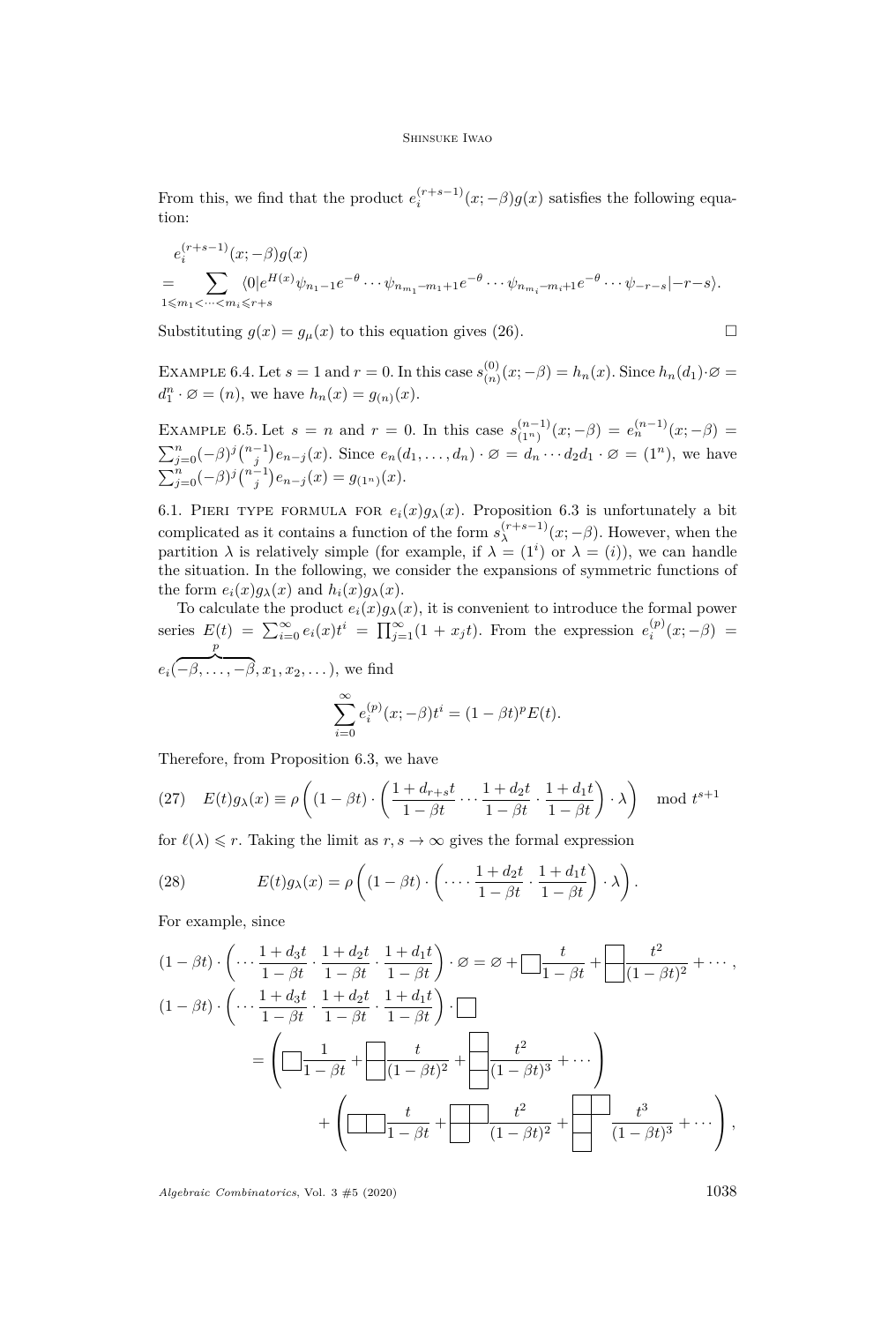From this, we find that the product  $e_i^{(r+s-1)}(x; -\beta)g(x)$  satisfies the following equation:

$$
e_i^{(r+s-1)}(x; -\beta)g(x)
$$
  
= 
$$
\sum_{1 \le m_1 < \dots < m_i \le r+s} \langle 0 | e^{H(x)} \psi_{n_1-1} e^{-\theta} \cdots \psi_{n_{m_1}-m_1+1} e^{-\theta} \cdots \psi_{n_{m_i}-m_i+1} e^{-\theta} \cdots \psi_{-r-s} | -r-s \rangle.
$$

Substituting  $g(x) = g_{\mu}(x)$  to this equation gives [\(26\)](#page-15-1).

$$
\Box
$$

EXAMPLE 6.4. Let  $s = 1$  and  $r = 0$ . In this case  $s_{(n)}^{(0)}$  $\binom{0}{n}(x; -\beta) = h_n(x)$ . Since  $h_n(d_1)$ ∙∅ =  $d_1^n \cdot \emptyset = (n)$ , we have  $h_n(x) = g_{(n)}(x)$ .

EXAMPLE 6.5. Let  $s = n$  and  $r = 0$ . In this case  $s_{(1n)}^{(n-1)}$  $\binom{(n-1)}{(1^n)}(x; -\beta) = e_n^{(n-1)}(x; -\beta) =$  $\sum_{j=0}^n (-\beta)^j {n-1 \choose j} e_{n-j}(x)$ . Since  $e_n(d_1,\ldots,d_n) \cdot \varnothing = d_n \cdots d_2 d_1 \cdot \varnothing = (1^n)$ , we have  $\sum_{j=0}^{n}(-\beta)^{j}\binom{n-1}{j}e_{n-j}(x) = g_{(1^{n})}(x).$ 

6.1. PIERI TYPE FORMULA FOR  $e_i(x)g_\lambda(x)$ . Proposition [6.3](#page-15-2) is unfortunately a bit complicated as it contains a function of the form  $s_{\lambda}^{(r+s-1)}$  $\lambda^{(r+s-1)}(x; -\beta)$ . However, when the partition  $\lambda$  is relatively simple (for example, if  $\lambda = (1^i)$  or  $\lambda = (i)$ ), we can handle the situation. In the following, we consider the expansions of symmetric functions of the form  $e_i(x)g_\lambda(x)$  and  $h_i(x)g_\lambda(x)$ .

To calculate the product  $e_i(x)g_\lambda(x)$ , it is convenient to introduce the formal power series  $E(t) = \sum_{i=0}^{\infty} e_i(x)t^i = \prod_{j=1}^{\infty} (1 + x_j t)$ . From the expression  $e_i^{(p)}(x; -\beta) =$ *ei*( *p*  $\overline{-\beta, \ldots, -\beta}, x_1, x_2, \ldots,$ , we find

$$
\sum_{i=0}^{\infty} e_i^{(p)}(x; -\beta)t^i = (1 - \beta t)^p E(t).
$$

Therefore, from Proposition [6.3,](#page-15-2) we have

(27) 
$$
E(t)g_{\lambda}(x) \equiv \rho \left( (1 - \beta t) \cdot \left( \frac{1 + d_{r+s}t}{1 - \beta t} \cdots \frac{1 + d_2t}{1 - \beta t} \cdot \frac{1 + d_1t}{1 - \beta t} \right) \cdot \lambda \right) \mod t^{s+1}
$$

for  $\ell(\lambda) \leq r$ . Taking the limit as  $r, s \to \infty$  gives the formal expression

(28) 
$$
E(t)g_{\lambda}(x) = \rho \left( (1 - \beta t) \cdot \left( \cdots \frac{1 + d_2 t}{1 - \beta t} \cdot \frac{1 + d_1 t}{1 - \beta t} \right) \cdot \lambda \right).
$$

For example, since

$$
(1 - \beta t) \cdot \left( \cdots \frac{1 + d_3 t}{1 - \beta t} \cdot \frac{1 + d_2 t}{1 - \beta t} \cdot \frac{1 + d_1 t}{1 - \beta t} \right) \cdot \varnothing = \varnothing + \square \frac{t}{1 - \beta t} + \square \frac{t^2}{(1 - \beta t)^2} + \cdots,
$$
  
\n
$$
(1 - \beta t) \cdot \left( \cdots \frac{1 + d_3 t}{1 - \beta t} \cdot \frac{1 + d_2 t}{1 - \beta t} \cdot \frac{1 + d_1 t}{1 - \beta t} \right) \cdot \square
$$
  
\n
$$
= \left( \square \frac{1}{1 - \beta t} + \square \frac{t}{(1 - \beta t)^2} + \square \frac{t^2}{(1 - \beta t)^3} + \cdots \right)
$$
  
\n
$$
+ \left( \square \frac{t}{1 - \beta t} + \square \frac{t^2}{(1 - \beta t)^2} + \square \frac{t^3}{(1 - \beta t)^3} + \cdots \right),
$$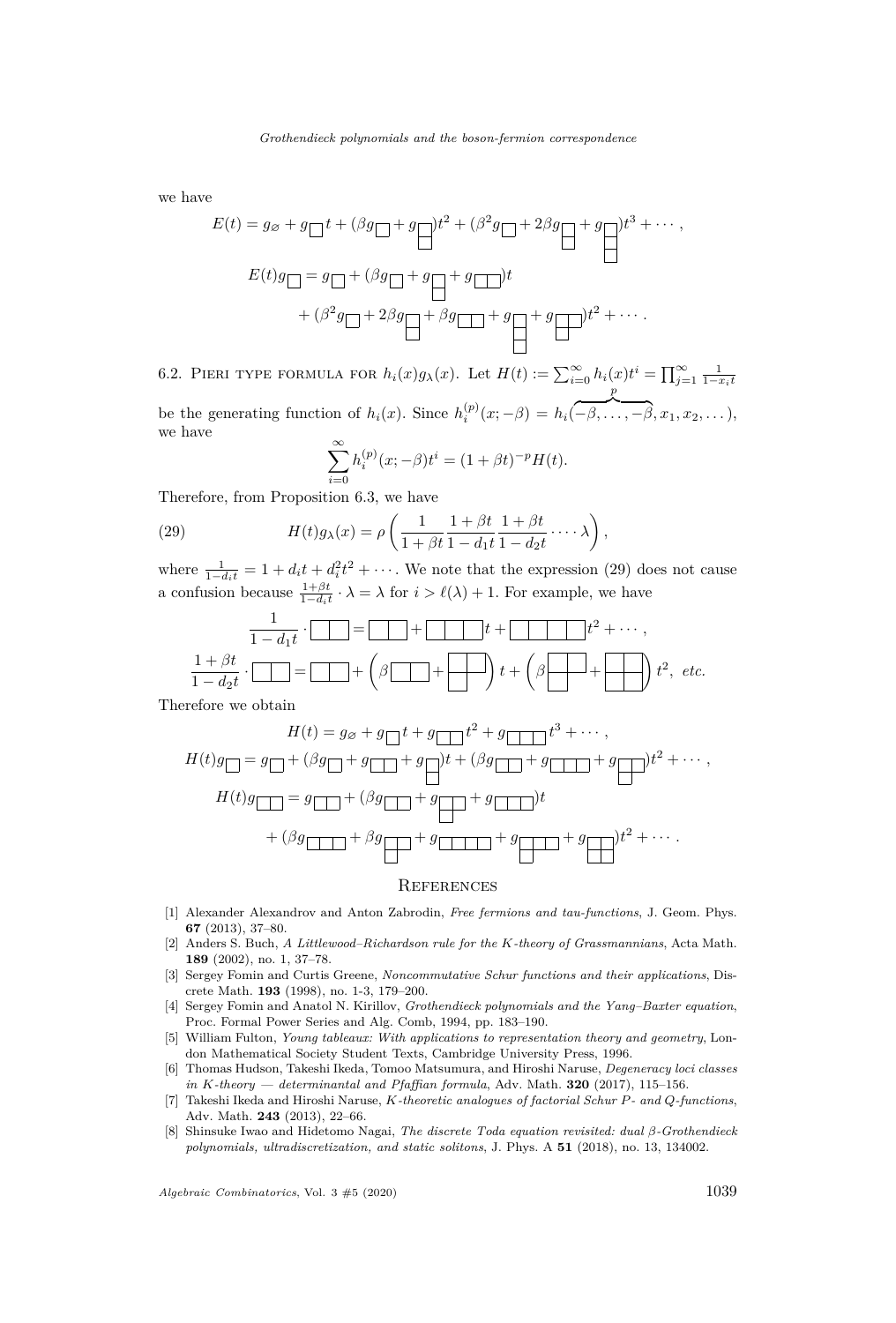we have

$$
E(t) = g_{\emptyset} + g_{\square}t + (\beta g_{\square} + g_{\square})t^{2} + (\beta^{2} g_{\square} + 2\beta g_{\square} + g_{\square}t^{3} + \cdots,
$$
  

$$
E(t)g_{\square} = g_{\square} + (\beta g_{\square} + g_{\square} + g_{\square})t + (\beta^{2} g_{\square} + 2\beta g_{\square} + \beta g_{\square} + g_{\square} + g_{\square})t^{2} + \cdots.
$$

6.2. PIERI TYPE FORMULA FOR  $h_i(x)g_\lambda(x)$ . Let  $H(t) := \sum_{i=0}^{\infty} h_i(x)t^i = \prod_{j=1}^{\infty} \frac{1}{1-x_it}$ be the generating function of  $h_i(x)$ . Since  $h_i^{(p)}(x; -\beta) = h_i(x)$ *p*  $\overline{-\beta, \ldots, -\beta}, x_1, x_2, \ldots,$ we have

<span id="page-17-8"></span>
$$
\sum_{i=0}^{\infty} h_i^{(p)}(x; -\beta)t^i = (1 + \beta t)^{-p}H(t).
$$

Therefore, from Proposition [6.3,](#page-15-2) we have

(29) 
$$
H(t)g_{\lambda}(x) = \rho \left( \frac{1}{1+\beta t} \frac{1+\beta t}{1-d_1 t} \frac{1+\beta t}{1-d_2 t} \cdots \lambda \right),
$$

where  $\frac{1}{1-d_i t} = 1 + d_i t + d_i^2 t^2 + \cdots$ . We note that the expression [\(29\)](#page-17-8) does not cause a confusion because  $\frac{1+\beta t}{1-d_i t} \cdot \lambda = \lambda$  for  $i > \ell(\lambda) + 1$ . For example, we have

$$
\frac{1}{1-d_1t} \cdot \boxed{\square} = \boxed{\square} + \boxed{\square} + \boxed{\square} \cdot t^2 + \cdots,
$$
\n
$$
\frac{1+\beta t}{1-d_2t} \cdot \boxed{\square} = \boxed{\square} + \left(\beta \boxed{\square} + \boxed{\square} \right) t + \left(\beta \boxed{\square} + \boxed{\square} \right) t^2, \text{ etc.}
$$

Therefore we obtain

$$
H(t) = g_{\emptyset} + g_{\square}t + g_{\square}t^{2} + g_{\square}t^{3} + \cdots,
$$
  
\n
$$
H(t)g_{\square} = g_{\square} + (\beta g_{\square} + g_{\square} + g_{\square})t + (\beta g_{\square} + g_{\square} + g_{\square})t^{2} + \cdots,
$$
  
\n
$$
H(t)g_{\square} = g_{\square} + (\beta g_{\square} + g_{\square} + g_{\square})t + g_{\square}t^{2} + \cdots.
$$

## **REFERENCES**

- <span id="page-17-7"></span>[1] Alexander Alexandrov and Anton Zabrodin, *Free fermions and tau-functions*, J. Geom. Phys. **67** (2013), 37–80.
- <span id="page-17-0"></span>[2] Anders S. Buch, *A Littlewood–Richardson rule for the K-theory of Grassmannians*, Acta Math. **189** (2002), no. 1, 37–78.
- <span id="page-17-6"></span>[3] Sergey Fomin and Curtis Greene, *Noncommutative Schur functions and their applications*, Discrete Math. **193** (1998), no. 1-3, 179–200.
- <span id="page-17-3"></span>[4] Sergey Fomin and Anatol N. Kirillov, *Grothendieck polynomials and the Yang–Baxter equation*, Proc. Formal Power Series and Alg. Comb, 1994, pp. 183–190.
- <span id="page-17-1"></span>[5] William Fulton, *Young tableaux: With applications to representation theory and geometry*, London Mathematical Society Student Texts, Cambridge University Press, 1996.
- <span id="page-17-5"></span>[6] Thomas Hudson, Takeshi Ikeda, Tomoo Matsumura, and Hiroshi Naruse, *Degeneracy loci classes in K-theory — determinantal and Pfaffian formula*, Adv. Math. **320** (2017), 115–156.
- <span id="page-17-2"></span>[7] Takeshi Ikeda and Hiroshi Naruse, *K-theoretic analogues of factorial Schur P- and Q-functions*, Adv. Math. **243** (2013), 22–66.
- <span id="page-17-4"></span>[8] Shinsuke Iwao and Hidetomo Nagai, *The discrete Toda equation revisited: dual β-Grothendieck polynomials, ultradiscretization, and static solitons*, J. Phys. A **51** (2018), no. 13, 134002.